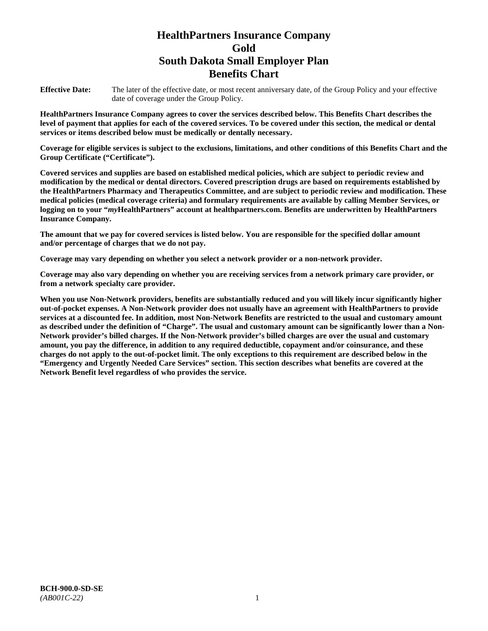# **HealthPartners Insurance Company Gold South Dakota Small Employer Plan Benefits Chart**

**Effective Date:** The later of the effective date, or most recent anniversary date, of the Group Policy and your effective date of coverage under the Group Policy.

**HealthPartners Insurance Company agrees to cover the services described below. This Benefits Chart describes the level of payment that applies for each of the covered services. To be covered under this section, the medical or dental services or items described below must be medically or dentally necessary.**

**Coverage for eligible services is subject to the exclusions, limitations, and other conditions of this Benefits Chart and the Group Certificate ("Certificate").**

**Covered services and supplies are based on established medical policies, which are subject to periodic review and modification by the medical or dental directors. Covered prescription drugs are based on requirements established by the HealthPartners Pharmacy and Therapeutics Committee, and are subject to periodic review and modification. These medical policies (medical coverage criteria) and formulary requirements are available by calling Member Services, or logging on to your "***my***HealthPartners" account at [healthpartners.com.](file://isntmacsrv0/www.healthpartners.com) Benefits are underwritten by HealthPartners Insurance Company.**

**The amount that we pay for covered services is listed below. You are responsible for the specified dollar amount and/or percentage of charges that we do not pay.**

**Coverage may vary depending on whether you select a network provider or a non-network provider.**

**Coverage may also vary depending on whether you are receiving services from a network primary care provider, or from a network specialty care provider.**

**When you use Non-Network providers, benefits are substantially reduced and you will likely incur significantly higher out-of-pocket expenses. A Non-Network provider does not usually have an agreement with HealthPartners to provide services at a discounted fee. In addition, most Non-Network Benefits are restricted to the usual and customary amount as described under the definition of "Charge". The usual and customary amount can be significantly lower than a Non-Network provider's billed charges. If the Non-Network provider's billed charges are over the usual and customary amount, you pay the difference, in addition to any required deductible, copayment and/or coinsurance, and these charges do not apply to the out-of-pocket limit. The only exceptions to this requirement are described below in the "Emergency and Urgently Needed Care Services" section. This section describes what benefits are covered at the Network Benefit level regardless of who provides the service.**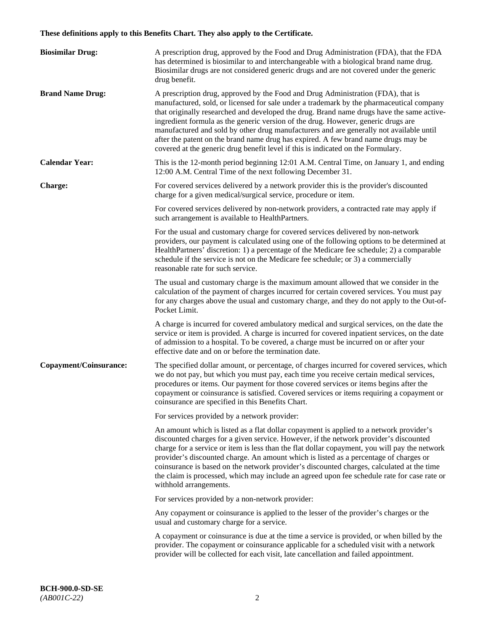# **These definitions apply to this Benefits Chart. They also apply to the Certificate.**

| <b>Biosimilar Drug:</b> | A prescription drug, approved by the Food and Drug Administration (FDA), that the FDA<br>has determined is biosimilar to and interchangeable with a biological brand name drug.<br>Biosimilar drugs are not considered generic drugs and are not covered under the generic<br>drug benefit.                                                                                                                                                                                                                                                                                                                                         |
|-------------------------|-------------------------------------------------------------------------------------------------------------------------------------------------------------------------------------------------------------------------------------------------------------------------------------------------------------------------------------------------------------------------------------------------------------------------------------------------------------------------------------------------------------------------------------------------------------------------------------------------------------------------------------|
| <b>Brand Name Drug:</b> | A prescription drug, approved by the Food and Drug Administration (FDA), that is<br>manufactured, sold, or licensed for sale under a trademark by the pharmaceutical company<br>that originally researched and developed the drug. Brand name drugs have the same active-<br>ingredient formula as the generic version of the drug. However, generic drugs are<br>manufactured and sold by other drug manufacturers and are generally not available until<br>after the patent on the brand name drug has expired. A few brand name drugs may be<br>covered at the generic drug benefit level if this is indicated on the Formulary. |
| <b>Calendar Year:</b>   | This is the 12-month period beginning 12:01 A.M. Central Time, on January 1, and ending<br>12:00 A.M. Central Time of the next following December 31.                                                                                                                                                                                                                                                                                                                                                                                                                                                                               |
| <b>Charge:</b>          | For covered services delivered by a network provider this is the provider's discounted<br>charge for a given medical/surgical service, procedure or item.                                                                                                                                                                                                                                                                                                                                                                                                                                                                           |
|                         | For covered services delivered by non-network providers, a contracted rate may apply if<br>such arrangement is available to HealthPartners.                                                                                                                                                                                                                                                                                                                                                                                                                                                                                         |
|                         | For the usual and customary charge for covered services delivered by non-network<br>providers, our payment is calculated using one of the following options to be determined at<br>HealthPartners' discretion: 1) a percentage of the Medicare fee schedule; 2) a comparable<br>schedule if the service is not on the Medicare fee schedule; or 3) a commercially<br>reasonable rate for such service.                                                                                                                                                                                                                              |
|                         | The usual and customary charge is the maximum amount allowed that we consider in the<br>calculation of the payment of charges incurred for certain covered services. You must pay<br>for any charges above the usual and customary charge, and they do not apply to the Out-of-<br>Pocket Limit.                                                                                                                                                                                                                                                                                                                                    |
|                         | A charge is incurred for covered ambulatory medical and surgical services, on the date the<br>service or item is provided. A charge is incurred for covered inpatient services, on the date<br>of admission to a hospital. To be covered, a charge must be incurred on or after your<br>effective date and on or before the termination date.                                                                                                                                                                                                                                                                                       |
| Copayment/Coinsurance:  | The specified dollar amount, or percentage, of charges incurred for covered services, which<br>we do not pay, but which you must pay, each time you receive certain medical services,<br>procedures or items. Our payment for those covered services or items begins after the<br>copayment or coinsurance is satisfied. Covered services or items requiring a copayment or<br>coinsurance are specified in this Benefits Chart.                                                                                                                                                                                                    |
|                         | For services provided by a network provider:                                                                                                                                                                                                                                                                                                                                                                                                                                                                                                                                                                                        |
|                         | An amount which is listed as a flat dollar copayment is applied to a network provider's<br>discounted charges for a given service. However, if the network provider's discounted<br>charge for a service or item is less than the flat dollar copayment, you will pay the network<br>provider's discounted charge. An amount which is listed as a percentage of charges or<br>coinsurance is based on the network provider's discounted charges, calculated at the time<br>the claim is processed, which may include an agreed upon fee schedule rate for case rate or<br>withhold arrangements.                                    |
|                         | For services provided by a non-network provider:                                                                                                                                                                                                                                                                                                                                                                                                                                                                                                                                                                                    |
|                         | Any copayment or coinsurance is applied to the lesser of the provider's charges or the<br>usual and customary charge for a service.                                                                                                                                                                                                                                                                                                                                                                                                                                                                                                 |
|                         | A copayment or coinsurance is due at the time a service is provided, or when billed by the<br>provider. The copayment or coinsurance applicable for a scheduled visit with a network<br>provider will be collected for each visit, late cancellation and failed appointment.                                                                                                                                                                                                                                                                                                                                                        |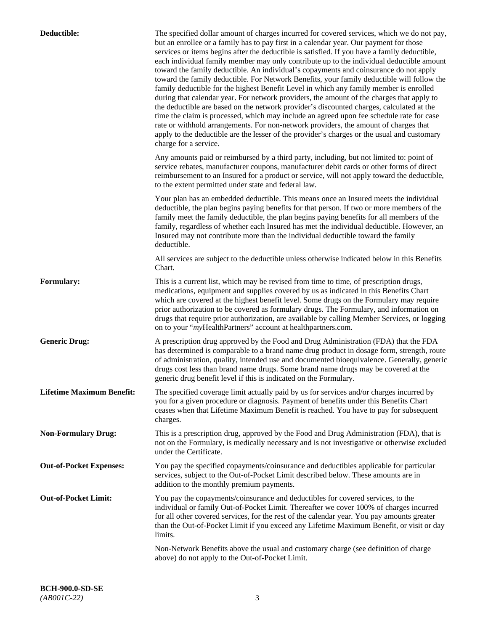| Deductible:                      | The specified dollar amount of charges incurred for covered services, which we do not pay,<br>but an enrollee or a family has to pay first in a calendar year. Our payment for those<br>services or items begins after the deductible is satisfied. If you have a family deductible,<br>each individual family member may only contribute up to the individual deductible amount<br>toward the family deductible. An individual's copayments and coinsurance do not apply<br>toward the family deductible. For Network Benefits, your family deductible will follow the<br>family deductible for the highest Benefit Level in which any family member is enrolled<br>during that calendar year. For network providers, the amount of the charges that apply to<br>the deductible are based on the network provider's discounted charges, calculated at the<br>time the claim is processed, which may include an agreed upon fee schedule rate for case<br>rate or withhold arrangements. For non-network providers, the amount of charges that<br>apply to the deductible are the lesser of the provider's charges or the usual and customary<br>charge for a service. |
|----------------------------------|------------------------------------------------------------------------------------------------------------------------------------------------------------------------------------------------------------------------------------------------------------------------------------------------------------------------------------------------------------------------------------------------------------------------------------------------------------------------------------------------------------------------------------------------------------------------------------------------------------------------------------------------------------------------------------------------------------------------------------------------------------------------------------------------------------------------------------------------------------------------------------------------------------------------------------------------------------------------------------------------------------------------------------------------------------------------------------------------------------------------------------------------------------------------|
|                                  | Any amounts paid or reimbursed by a third party, including, but not limited to: point of<br>service rebates, manufacturer coupons, manufacturer debit cards or other forms of direct<br>reimbursement to an Insured for a product or service, will not apply toward the deductible,<br>to the extent permitted under state and federal law.                                                                                                                                                                                                                                                                                                                                                                                                                                                                                                                                                                                                                                                                                                                                                                                                                            |
|                                  | Your plan has an embedded deductible. This means once an Insured meets the individual<br>deductible, the plan begins paying benefits for that person. If two or more members of the<br>family meet the family deductible, the plan begins paying benefits for all members of the<br>family, regardless of whether each Insured has met the individual deductible. However, an<br>Insured may not contribute more than the individual deductible toward the family<br>deductible.                                                                                                                                                                                                                                                                                                                                                                                                                                                                                                                                                                                                                                                                                       |
|                                  | All services are subject to the deductible unless otherwise indicated below in this Benefits<br>Chart.                                                                                                                                                                                                                                                                                                                                                                                                                                                                                                                                                                                                                                                                                                                                                                                                                                                                                                                                                                                                                                                                 |
| <b>Formulary:</b>                | This is a current list, which may be revised from time to time, of prescription drugs,<br>medications, equipment and supplies covered by us as indicated in this Benefits Chart<br>which are covered at the highest benefit level. Some drugs on the Formulary may require<br>prior authorization to be covered as formulary drugs. The Formulary, and information on<br>drugs that require prior authorization, are available by calling Member Services, or logging<br>on to your "myHealthPartners" account at healthpartners.com.                                                                                                                                                                                                                                                                                                                                                                                                                                                                                                                                                                                                                                  |
| <b>Generic Drug:</b>             | A prescription drug approved by the Food and Drug Administration (FDA) that the FDA<br>has determined is comparable to a brand name drug product in dosage form, strength, route<br>of administration, quality, intended use and documented bioequivalence. Generally, generic<br>drugs cost less than brand name drugs. Some brand name drugs may be covered at the<br>generic drug benefit level if this is indicated on the Formulary.                                                                                                                                                                                                                                                                                                                                                                                                                                                                                                                                                                                                                                                                                                                              |
| <b>Lifetime Maximum Benefit:</b> | The specified coverage limit actually paid by us for services and/or charges incurred by<br>you for a given procedure or diagnosis. Payment of benefits under this Benefits Chart<br>ceases when that Lifetime Maximum Benefit is reached. You have to pay for subsequent<br>charges.                                                                                                                                                                                                                                                                                                                                                                                                                                                                                                                                                                                                                                                                                                                                                                                                                                                                                  |
| <b>Non-Formulary Drug:</b>       | This is a prescription drug, approved by the Food and Drug Administration (FDA), that is<br>not on the Formulary, is medically necessary and is not investigative or otherwise excluded<br>under the Certificate.                                                                                                                                                                                                                                                                                                                                                                                                                                                                                                                                                                                                                                                                                                                                                                                                                                                                                                                                                      |
| <b>Out-of-Pocket Expenses:</b>   | You pay the specified copayments/coinsurance and deductibles applicable for particular<br>services, subject to the Out-of-Pocket Limit described below. These amounts are in<br>addition to the monthly premium payments.                                                                                                                                                                                                                                                                                                                                                                                                                                                                                                                                                                                                                                                                                                                                                                                                                                                                                                                                              |
| <b>Out-of-Pocket Limit:</b>      | You pay the copayments/coinsurance and deductibles for covered services, to the<br>individual or family Out-of-Pocket Limit. Thereafter we cover 100% of charges incurred<br>for all other covered services, for the rest of the calendar year. You pay amounts greater<br>than the Out-of-Pocket Limit if you exceed any Lifetime Maximum Benefit, or visit or day<br>limits.                                                                                                                                                                                                                                                                                                                                                                                                                                                                                                                                                                                                                                                                                                                                                                                         |
|                                  | Non-Network Benefits above the usual and customary charge (see definition of charge<br>above) do not apply to the Out-of-Pocket Limit.                                                                                                                                                                                                                                                                                                                                                                                                                                                                                                                                                                                                                                                                                                                                                                                                                                                                                                                                                                                                                                 |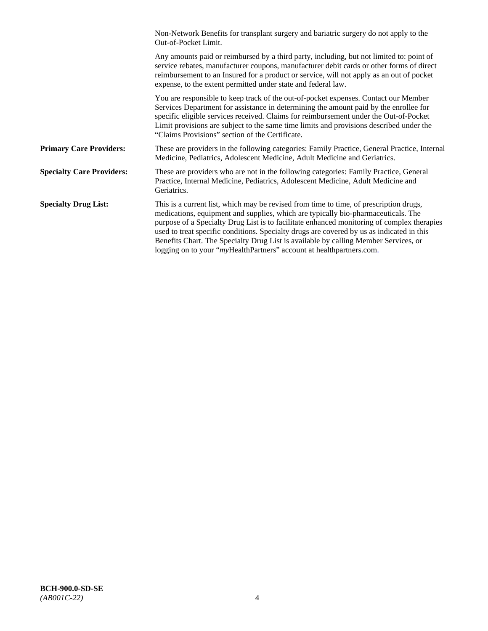|                                  | Non-Network Benefits for transplant surgery and bariatric surgery do not apply to the<br>Out-of-Pocket Limit.                                                                                                                                                                                                                                                                                                                                                                                                                         |
|----------------------------------|---------------------------------------------------------------------------------------------------------------------------------------------------------------------------------------------------------------------------------------------------------------------------------------------------------------------------------------------------------------------------------------------------------------------------------------------------------------------------------------------------------------------------------------|
|                                  | Any amounts paid or reimbursed by a third party, including, but not limited to: point of<br>service rebates, manufacturer coupons, manufacturer debit cards or other forms of direct<br>reimbursement to an Insured for a product or service, will not apply as an out of pocket<br>expense, to the extent permitted under state and federal law.                                                                                                                                                                                     |
|                                  | You are responsible to keep track of the out-of-pocket expenses. Contact our Member<br>Services Department for assistance in determining the amount paid by the enrollee for<br>specific eligible services received. Claims for reimbursement under the Out-of-Pocket<br>Limit provisions are subject to the same time limits and provisions described under the<br>"Claims Provisions" section of the Certificate.                                                                                                                   |
| <b>Primary Care Providers:</b>   | These are providers in the following categories: Family Practice, General Practice, Internal<br>Medicine, Pediatrics, Adolescent Medicine, Adult Medicine and Geriatrics.                                                                                                                                                                                                                                                                                                                                                             |
| <b>Specialty Care Providers:</b> | These are providers who are not in the following categories: Family Practice, General<br>Practice, Internal Medicine, Pediatrics, Adolescent Medicine, Adult Medicine and<br>Geriatrics.                                                                                                                                                                                                                                                                                                                                              |
| <b>Specialty Drug List:</b>      | This is a current list, which may be revised from time to time, of prescription drugs,<br>medications, equipment and supplies, which are typically bio-pharmaceuticals. The<br>purpose of a Specialty Drug List is to facilitate enhanced monitoring of complex therapies<br>used to treat specific conditions. Specialty drugs are covered by us as indicated in this<br>Benefits Chart. The Specialty Drug List is available by calling Member Services, or<br>logging on to your "myHealthPartners" account at healthpartners.com. |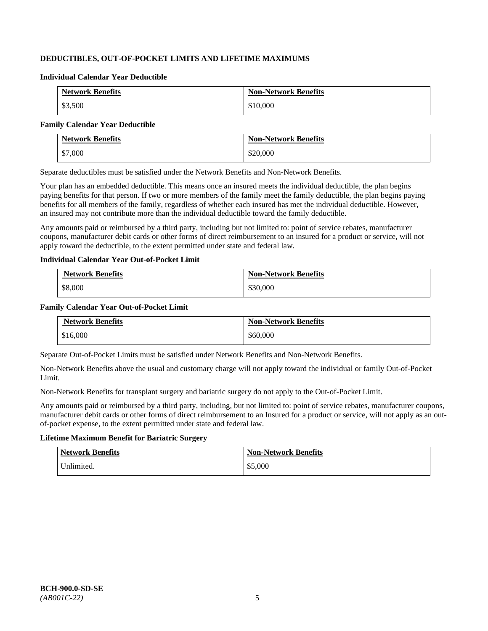## **DEDUCTIBLES, OUT-OF-POCKET LIMITS AND LIFETIME MAXIMUMS**

#### **Individual Calendar Year Deductible**

| <b>Network Benefits</b> | <b>Non-Network Benefits</b> |
|-------------------------|-----------------------------|
| \$3,500                 | \$10,000                    |

#### **Family Calendar Year Deductible**

| <b>Network Benefits</b> | <b>Non-Network Benefits</b> |
|-------------------------|-----------------------------|
| \$7,000                 | \$20,000                    |

Separate deductibles must be satisfied under the Network Benefits and Non-Network Benefits.

Your plan has an embedded deductible. This means once an insured meets the individual deductible, the plan begins paying benefits for that person. If two or more members of the family meet the family deductible, the plan begins paying benefits for all members of the family, regardless of whether each insured has met the individual deductible. However, an insured may not contribute more than the individual deductible toward the family deductible.

Any amounts paid or reimbursed by a third party, including but not limited to: point of service rebates, manufacturer coupons, manufacturer debit cards or other forms of direct reimbursement to an insured for a product or service, will not apply toward the deductible, to the extent permitted under state and federal law.

#### **Individual Calendar Year Out-of-Pocket Limit**

| <b>Network Benefits</b> | <b>Non-Network Benefits</b> |
|-------------------------|-----------------------------|
| \$8,000                 | \$30,000                    |

## **Family Calendar Year Out-of-Pocket Limit**

| <b>Network Benefits</b> | <b>Non-Network Benefits</b> |
|-------------------------|-----------------------------|
| \$16,000                | \$60,000                    |

Separate Out-of-Pocket Limits must be satisfied under Network Benefits and Non-Network Benefits.

Non-Network Benefits above the usual and customary charge will not apply toward the individual or family Out-of-Pocket Limit.

Non-Network Benefits for transplant surgery and bariatric surgery do not apply to the Out-of-Pocket Limit.

Any amounts paid or reimbursed by a third party, including, but not limited to: point of service rebates, manufacturer coupons, manufacturer debit cards or other forms of direct reimbursement to an Insured for a product or service, will not apply as an outof-pocket expense, to the extent permitted under state and federal law.

## **Lifetime Maximum Benefit for Bariatric Surgery**

| <b>Network Benefits</b> | <b>Non-Network Benefits</b> |
|-------------------------|-----------------------------|
| Unlimited.              | \$5,000                     |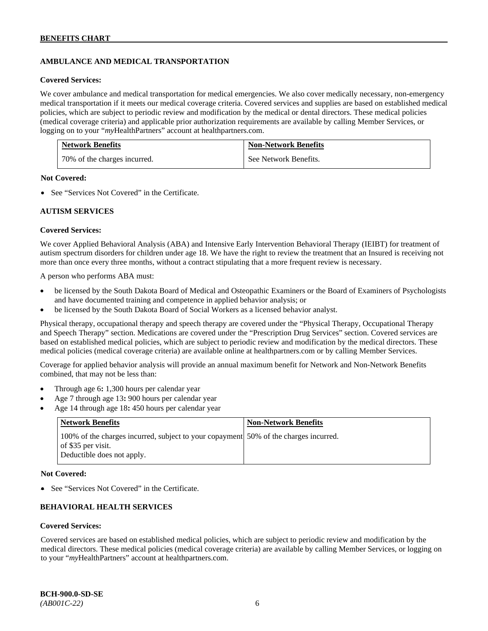## **AMBULANCE AND MEDICAL TRANSPORTATION**

#### **Covered Services:**

We cover ambulance and medical transportation for medical emergencies. We also cover medically necessary, non-emergency medical transportation if it meets our medical coverage criteria. Covered services and supplies are based on established medical policies, which are subject to periodic review and modification by the medical or dental directors. These medical policies (medical coverage criteria) and applicable prior authorization requirements are available by calling Member Services, or logging on to your "*my*HealthPartners" account at [healthpartners.com.](http://healthpartners.com/)

| <b>Network Benefits</b>      | <b>Non-Network Benefits</b> |
|------------------------------|-----------------------------|
| 70% of the charges incurred. | See Network Benefits.       |

#### **Not Covered:**

• See "Services Not Covered" in the Certificate.

## **AUTISM SERVICES**

#### **Covered Services:**

We cover Applied Behavioral Analysis (ABA) and Intensive Early Intervention Behavioral Therapy (IEIBT) for treatment of autism spectrum disorders for children under age 18. We have the right to review the treatment that an Insured is receiving not more than once every three months, without a contract stipulating that a more frequent review is necessary.

A person who performs ABA must:

- be licensed by the South Dakota Board of Medical and Osteopathic Examiners or the Board of Examiners of Psychologists and have documented training and competence in applied behavior analysis; or
- be licensed by the South Dakota Board of Social Workers as a licensed behavior analyst.

Physical therapy, occupational therapy and speech therapy are covered under the "Physical Therapy, Occupational Therapy and Speech Therapy" section. Medications are covered under the "Prescription Drug Services" section. Covered services are based on established medical policies, which are subject to periodic review and modification by the medical directors. These medical policies (medical coverage criteria) are available online at [healthpartners.com](http://healthpartners.com/) or by calling Member Services.

Coverage for applied behavior analysis will provide an annual maximum benefit for Network and Non-Network Benefits combined, that may not be less than:

- Through age 6**:** 1,300 hours per calendar year
- Age 7 through age 13**:** 900 hours per calendar year
- Age 14 through age 18**:** 450 hours per calendar year

| <b>Network Benefits</b>                                                                                                                  | <b>Non-Network Benefits</b> |
|------------------------------------------------------------------------------------------------------------------------------------------|-----------------------------|
| 100% of the charges incurred, subject to your copayment 50% of the charges incurred.<br>of \$35 per visit.<br>Deductible does not apply. |                             |

### **Not Covered:**

• See "Services Not Covered" in the Certificate.

## **BEHAVIORAL HEALTH SERVICES**

#### **Covered Services:**

Covered services are based on established medical policies, which are subject to periodic review and modification by the medical directors. These medical policies (medical coverage criteria) are available by calling Member Services, or logging on to your "*my*HealthPartners" account at [healthpartners.com.](http://healthpartners.com/)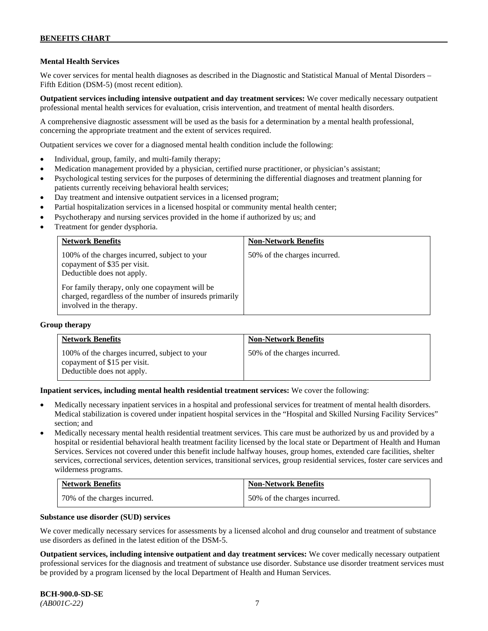## **Mental Health Services**

We cover services for mental health diagnoses as described in the Diagnostic and Statistical Manual of Mental Disorders – Fifth Edition (DSM-5) (most recent edition).

**Outpatient services including intensive outpatient and day treatment services:** We cover medically necessary outpatient professional mental health services for evaluation, crisis intervention, and treatment of mental health disorders.

A comprehensive diagnostic assessment will be used as the basis for a determination by a mental health professional, concerning the appropriate treatment and the extent of services required.

Outpatient services we cover for a diagnosed mental health condition include the following:

- Individual, group, family, and multi-family therapy;
- Medication management provided by a physician, certified nurse practitioner, or physician's assistant;
- Psychological testing services for the purposes of determining the differential diagnoses and treatment planning for patients currently receiving behavioral health services;
- Day treatment and intensive outpatient services in a licensed program;
- Partial hospitalization services in a licensed hospital or community mental health center;
- Psychotherapy and nursing services provided in the home if authorized by us; and
- Treatment for gender dysphoria.

| <b>Network Benefits</b>                                                                                                               | <b>Non-Network Benefits</b>  |
|---------------------------------------------------------------------------------------------------------------------------------------|------------------------------|
| 100% of the charges incurred, subject to your<br>copayment of \$35 per visit.<br>Deductible does not apply.                           | 50% of the charges incurred. |
| For family therapy, only one copayment will be<br>charged, regardless of the number of insureds primarily<br>involved in the therapy. |                              |

#### **Group therapy**

| <b>Network Benefits</b>                                                                                     | <b>Non-Network Benefits</b>  |
|-------------------------------------------------------------------------------------------------------------|------------------------------|
| 100% of the charges incurred, subject to your<br>copayment of \$15 per visit.<br>Deductible does not apply. | 50% of the charges incurred. |

**Inpatient services, including mental health residential treatment services:** We cover the following:

- Medically necessary inpatient services in a hospital and professional services for treatment of mental health disorders. Medical stabilization is covered under inpatient hospital services in the "Hospital and Skilled Nursing Facility Services" section; and
- Medically necessary mental health residential treatment services. This care must be authorized by us and provided by a hospital or residential behavioral health treatment facility licensed by the local state or Department of Health and Human Services. Services not covered under this benefit include halfway houses, group homes, extended care facilities, shelter services, correctional services, detention services, transitional services, group residential services, foster care services and wilderness programs.

| <b>Network Benefits</b>      | <b>Non-Network Benefits</b>  |
|------------------------------|------------------------------|
| 70% of the charges incurred. | 50% of the charges incurred. |

#### **Substance use disorder (SUD) services**

We cover medically necessary services for assessments by a licensed alcohol and drug counselor and treatment of substance use disorders as defined in the latest edition of the DSM-5.

**Outpatient services, including intensive outpatient and day treatment services:** We cover medically necessary outpatient professional services for the diagnosis and treatment of substance use disorder. Substance use disorder treatment services must be provided by a program licensed by the local Department of Health and Human Services.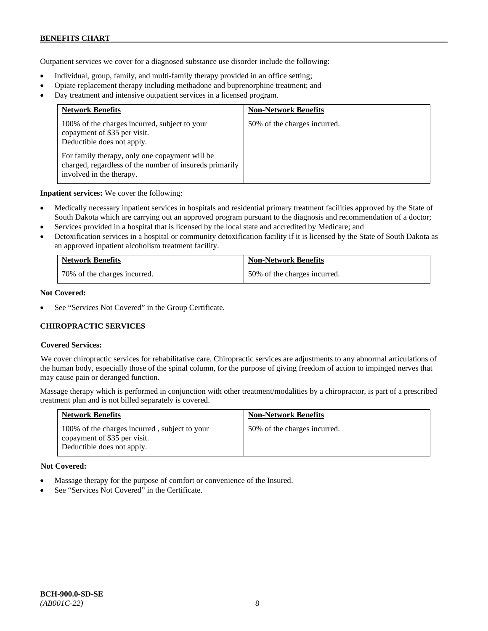Outpatient services we cover for a diagnosed substance use disorder include the following:

- Individual, group, family, and multi-family therapy provided in an office setting;
- Opiate replacement therapy including methadone and buprenorphine treatment; and
- Day treatment and intensive outpatient services in a licensed program.

| <b>Network Benefits</b>                                                                                                               | <b>Non-Network Benefits</b>  |
|---------------------------------------------------------------------------------------------------------------------------------------|------------------------------|
| 100% of the charges incurred, subject to your<br>copayment of \$35 per visit.<br>Deductible does not apply.                           | 50% of the charges incurred. |
| For family therapy, only one copayment will be<br>charged, regardless of the number of insureds primarily<br>involved in the therapy. |                              |

**Inpatient services:** We cover the following:

- Medically necessary inpatient services in hospitals and residential primary treatment facilities approved by the State of South Dakota which are carrying out an approved program pursuant to the diagnosis and recommendation of a doctor;
- Services provided in a hospital that is licensed by the local state and accredited by Medicare; and
- Detoxification services in a hospital or community detoxification facility if it is licensed by the State of South Dakota as an approved inpatient alcoholism treatment facility.

| <b>Network Benefits</b>      | <b>Non-Network Benefits</b>  |
|------------------------------|------------------------------|
| 70% of the charges incurred. | 50% of the charges incurred. |

### **Not Covered:**

See "Services Not Covered" in the Group Certificate.

## **CHIROPRACTIC SERVICES**

## **Covered Services:**

We cover chiropractic services for rehabilitative care. Chiropractic services are adjustments to any abnormal articulations of the human body, especially those of the spinal column, for the purpose of giving freedom of action to impinged nerves that may cause pain or deranged function.

Massage therapy which is performed in conjunction with other treatment/modalities by a chiropractor, is part of a prescribed treatment plan and is not billed separately is covered.

| <b>Network Benefits</b>                                                                                     | <b>Non-Network Benefits</b>  |
|-------------------------------------------------------------------------------------------------------------|------------------------------|
| 100% of the charges incurred, subject to your<br>copayment of \$35 per visit.<br>Deductible does not apply. | 50% of the charges incurred. |

#### **Not Covered:**

- Massage therapy for the purpose of comfort or convenience of the Insured.
- See "Services Not Covered" in the Certificate.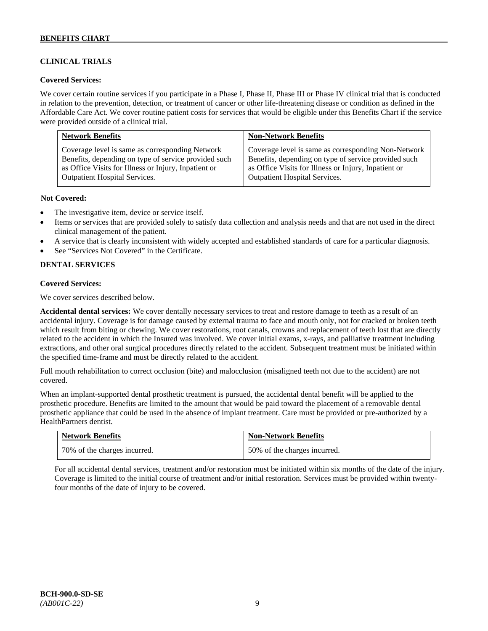## **CLINICAL TRIALS**

### **Covered Services:**

We cover certain routine services if you participate in a Phase I, Phase II, Phase III or Phase IV clinical trial that is conducted in relation to the prevention, detection, or treatment of cancer or other life-threatening disease or condition as defined in the Affordable Care Act. We cover routine patient costs for services that would be eligible under this Benefits Chart if the service were provided outside of a clinical trial.

| <b>Network Benefits</b>                              | <b>Non-Network Benefits</b>                          |
|------------------------------------------------------|------------------------------------------------------|
| Coverage level is same as corresponding Network      | Coverage level is same as corresponding Non-Network  |
| Benefits, depending on type of service provided such | Benefits, depending on type of service provided such |
| as Office Visits for Illness or Injury, Inpatient or | as Office Visits for Illness or Injury, Inpatient or |
| <b>Outpatient Hospital Services.</b>                 | Outpatient Hospital Services.                        |

#### **Not Covered:**

- The investigative item, device or service itself.
- Items or services that are provided solely to satisfy data collection and analysis needs and that are not used in the direct clinical management of the patient.
- A service that is clearly inconsistent with widely accepted and established standards of care for a particular diagnosis.
- See "Services Not Covered" in the Certificate.

## **DENTAL SERVICES**

#### **Covered Services:**

We cover services described below.

**Accidental dental services:** We cover dentally necessary services to treat and restore damage to teeth as a result of an accidental injury. Coverage is for damage caused by external trauma to face and mouth only, not for cracked or broken teeth which result from biting or chewing. We cover restorations, root canals, crowns and replacement of teeth lost that are directly related to the accident in which the Insured was involved. We cover initial exams, x-rays, and palliative treatment including extractions, and other oral surgical procedures directly related to the accident. Subsequent treatment must be initiated within the specified time-frame and must be directly related to the accident.

Full mouth rehabilitation to correct occlusion (bite) and malocclusion (misaligned teeth not due to the accident) are not covered.

When an implant-supported dental prosthetic treatment is pursued, the accidental dental benefit will be applied to the prosthetic procedure. Benefits are limited to the amount that would be paid toward the placement of a removable dental prosthetic appliance that could be used in the absence of implant treatment. Care must be provided or pre-authorized by a HealthPartners dentist.

| <b>Network Benefits</b>      | <b>Non-Network Benefits</b>  |
|------------------------------|------------------------------|
| 70% of the charges incurred. | 50% of the charges incurred. |

For all accidental dental services, treatment and/or restoration must be initiated within six months of the date of the injury. Coverage is limited to the initial course of treatment and/or initial restoration. Services must be provided within twentyfour months of the date of injury to be covered.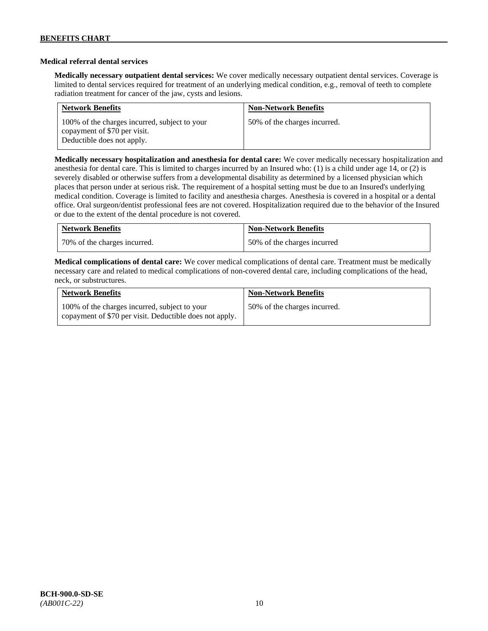## **Medical referral dental services**

**Medically necessary outpatient dental services:** We cover medically necessary outpatient dental services. Coverage is limited to dental services required for treatment of an underlying medical condition, e.g., removal of teeth to complete radiation treatment for cancer of the jaw, cysts and lesions.

| <b>Network Benefits</b>                                                                                     | <b>Non-Network Benefits</b>  |
|-------------------------------------------------------------------------------------------------------------|------------------------------|
| 100% of the charges incurred, subject to your<br>copayment of \$70 per visit.<br>Deductible does not apply. | 50% of the charges incurred. |

**Medically necessary hospitalization and anesthesia for dental care:** We cover medically necessary hospitalization and anesthesia for dental care. This is limited to charges incurred by an Insured who: (1) is a child under age 14, or (2) is severely disabled or otherwise suffers from a developmental disability as determined by a licensed physician which places that person under at serious risk. The requirement of a hospital setting must be due to an Insured's underlying medical condition. Coverage is limited to facility and anesthesia charges. Anesthesia is covered in a hospital or a dental office. Oral surgeon/dentist professional fees are not covered. Hospitalization required due to the behavior of the Insured or due to the extent of the dental procedure is not covered.

| <b>Network Benefits</b>      | <b>Non-Network Benefits</b> |
|------------------------------|-----------------------------|
| 70% of the charges incurred. | 50% of the charges incurred |

**Medical complications of dental care:** We cover medical complications of dental care. Treatment must be medically necessary care and related to medical complications of non-covered dental care, including complications of the head, neck, or substructures.

| <b>Network Benefits</b>                                                                                  | <b>Non-Network Benefits</b>  |
|----------------------------------------------------------------------------------------------------------|------------------------------|
| 100% of the charges incurred, subject to your<br>copayment of \$70 per visit. Deductible does not apply. | 50% of the charges incurred. |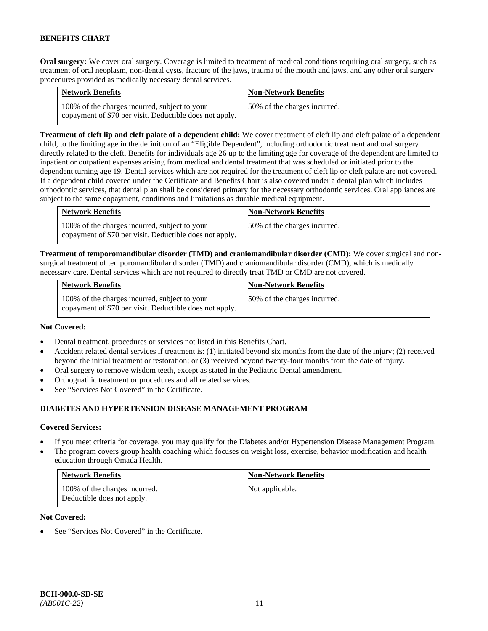**Oral surgery:** We cover oral surgery. Coverage is limited to treatment of medical conditions requiring oral surgery, such as treatment of oral neoplasm, non-dental cysts, fracture of the jaws, trauma of the mouth and jaws, and any other oral surgery procedures provided as medically necessary dental services.

| <b>Network Benefits</b>                                                                                  | <b>Non-Network Benefits</b>  |
|----------------------------------------------------------------------------------------------------------|------------------------------|
| 100% of the charges incurred, subject to your<br>copayment of \$70 per visit. Deductible does not apply. | 50% of the charges incurred. |

**Treatment of cleft lip and cleft palate of a dependent child:** We cover treatment of cleft lip and cleft palate of a dependent child, to the limiting age in the definition of an "Eligible Dependent", including orthodontic treatment and oral surgery directly related to the cleft. Benefits for individuals age 26 up to the limiting age for coverage of the dependent are limited to inpatient or outpatient expenses arising from medical and dental treatment that was scheduled or initiated prior to the dependent turning age 19. Dental services which are not required for the treatment of cleft lip or cleft palate are not covered. If a dependent child covered under the Certificate and Benefits Chart is also covered under a dental plan which includes orthodontic services, that dental plan shall be considered primary for the necessary orthodontic services. Oral appliances are subject to the same copayment, conditions and limitations as durable medical equipment.

| <b>Network Benefits</b>                                                                                  | <b>Non-Network Benefits</b>  |
|----------------------------------------------------------------------------------------------------------|------------------------------|
| 100% of the charges incurred, subject to your<br>copayment of \$70 per visit. Deductible does not apply. | 50% of the charges incurred. |

**Treatment of temporomandibular disorder (TMD) and craniomandibular disorder (CMD):** We cover surgical and nonsurgical treatment of temporomandibular disorder (TMD) and craniomandibular disorder (CMD), which is medically necessary care. Dental services which are not required to directly treat TMD or CMD are not covered.

| <b>Network Benefits</b>                                                                                  | <b>Non-Network Benefits</b>  |
|----------------------------------------------------------------------------------------------------------|------------------------------|
| 100% of the charges incurred, subject to your<br>copayment of \$70 per visit. Deductible does not apply. | 50% of the charges incurred. |

## **Not Covered:**

- Dental treatment, procedures or services not listed in this Benefits Chart.
- Accident related dental services if treatment is: (1) initiated beyond six months from the date of the injury; (2) received beyond the initial treatment or restoration; or (3) received beyond twenty-four months from the date of injury.
- Oral surgery to remove wisdom teeth, except as stated in the Pediatric Dental amendment.
- Orthognathic treatment or procedures and all related services.
- See "Services Not Covered" in the Certificate.

## **DIABETES AND HYPERTENSION DISEASE MANAGEMENT PROGRAM**

#### **Covered Services:**

- If you meet criteria for coverage, you may qualify for the Diabetes and/or Hypertension Disease Management Program.
- The program covers group health coaching which focuses on weight loss, exercise, behavior modification and health education through Omada Health.

| <b>Network Benefits</b>                                     | <b>Non-Network Benefits</b> |
|-------------------------------------------------------------|-----------------------------|
| 100% of the charges incurred.<br>Deductible does not apply. | Not applicable.             |

#### **Not Covered:**

See "Services Not Covered" in the Certificate.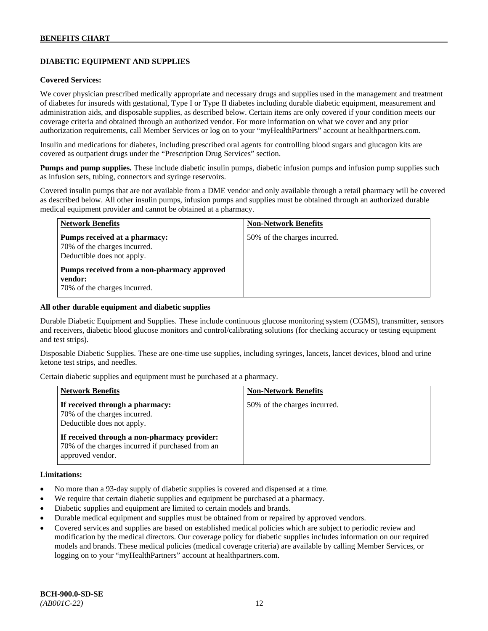## **DIABETIC EQUIPMENT AND SUPPLIES**

#### **Covered Services:**

We cover physician prescribed medically appropriate and necessary drugs and supplies used in the management and treatment of diabetes for insureds with gestational, Type I or Type II diabetes including durable diabetic equipment, measurement and administration aids, and disposable supplies, as described below. Certain items are only covered if your condition meets our coverage criteria and obtained through an authorized vendor. For more information on what we cover and any prior authorization requirements, call Member Services or log on to your "myHealthPartners" account at [healthpartners.com.](http://www.healthpartners.com/)

Insulin and medications for diabetes, including prescribed oral agents for controlling blood sugars and glucagon kits are covered as outpatient drugs under the "Prescription Drug Services" section.

**Pumps and pump supplies.** These include diabetic insulin pumps, diabetic infusion pumps and infusion pump supplies such as infusion sets, tubing, connectors and syringe reservoirs.

Covered insulin pumps that are not available from a DME vendor and only available through a retail pharmacy will be covered as described below. All other insulin pumps, infusion pumps and supplies must be obtained through an authorized durable medical equipment provider and cannot be obtained at a pharmacy.

| <b>Network Benefits</b>                                                                     | <b>Non-Network Benefits</b>  |
|---------------------------------------------------------------------------------------------|------------------------------|
| Pumps received at a pharmacy:<br>70% of the charges incurred.<br>Deductible does not apply. | 50% of the charges incurred. |
| Pumps received from a non-pharmacy approved<br>vendor:<br>70% of the charges incurred.      |                              |

#### **All other durable equipment and diabetic supplies**

Durable Diabetic Equipment and Supplies. These include continuous glucose monitoring system (CGMS), transmitter, sensors and receivers, diabetic blood glucose monitors and control/calibrating solutions (for checking accuracy or testing equipment and test strips).

Disposable Diabetic Supplies. These are one-time use supplies, including syringes, lancets, lancet devices, blood and urine ketone test strips, and needles.

Certain diabetic supplies and equipment must be purchased at a pharmacy.

| <b>Network Benefits</b>                                                                                              | <b>Non-Network Benefits</b>  |
|----------------------------------------------------------------------------------------------------------------------|------------------------------|
| If received through a pharmacy:<br>70% of the charges incurred.<br>Deductible does not apply.                        | 50% of the charges incurred. |
| If received through a non-pharmacy provider:<br>70% of the charges incurred if purchased from an<br>approved vendor. |                              |

## **Limitations:**

- No more than a 93-day supply of diabetic supplies is covered and dispensed at a time.
- We require that certain diabetic supplies and equipment be purchased at a pharmacy.
- Diabetic supplies and equipment are limited to certain models and brands.
- Durable medical equipment and supplies must be obtained from or repaired by approved vendors.
- Covered services and supplies are based on established medical policies which are subject to periodic review and modification by the medical directors. Our coverage policy for diabetic supplies includes information on our required models and brands. These medical policies (medical coverage criteria) are available by calling Member Services, or logging on to your "myHealthPartners" account at [healthpartners.com.](http://www.healthpartners.com/)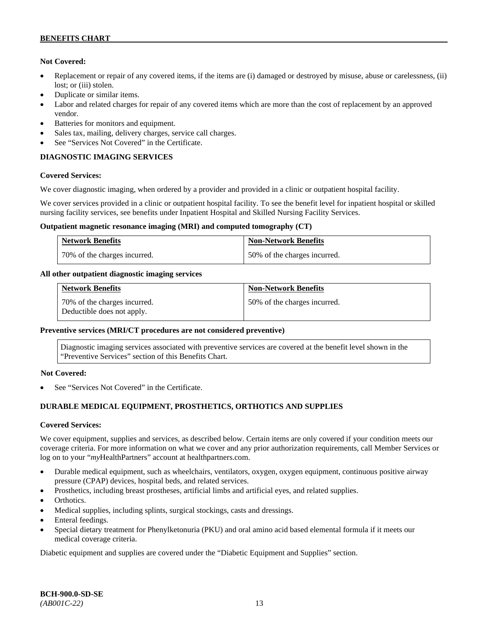## **Not Covered:**

- Replacement or repair of any covered items, if the items are (i) damaged or destroyed by misuse, abuse or carelessness, (ii) lost; or (iii) stolen.
- Duplicate or similar items.
- Labor and related charges for repair of any covered items which are more than the cost of replacement by an approved vendor.
- Batteries for monitors and equipment.
- Sales tax, mailing, delivery charges, service call charges.
- See "Services Not Covered" in the Certificate.

## **DIAGNOSTIC IMAGING SERVICES**

## **Covered Services:**

We cover diagnostic imaging, when ordered by a provider and provided in a clinic or outpatient hospital facility.

We cover services provided in a clinic or outpatient hospital facility. To see the benefit level for inpatient hospital or skilled nursing facility services, see benefits under Inpatient Hospital and Skilled Nursing Facility Services.

#### **Outpatient magnetic resonance imaging (MRI) and computed tomography (CT)**

| <b>Network Benefits</b>      | <b>Non-Network Benefits</b>  |
|------------------------------|------------------------------|
| 70% of the charges incurred. | 50% of the charges incurred. |

## **All other outpatient diagnostic imaging services**

| <b>Network Benefits</b>                                    | <b>Non-Network Benefits</b>  |
|------------------------------------------------------------|------------------------------|
| 70% of the charges incurred.<br>Deductible does not apply. | 50% of the charges incurred. |

## **Preventive services (MRI/CT procedures are not considered preventive)**

Diagnostic imaging services associated with preventive services are covered at the benefit level shown in the "Preventive Services" section of this Benefits Chart.

## **Not Covered:**

See "Services Not Covered" in the Certificate.

## **DURABLE MEDICAL EQUIPMENT, PROSTHETICS, ORTHOTICS AND SUPPLIES**

## **Covered Services:**

We cover equipment, supplies and services, as described below. Certain items are only covered if your condition meets our coverage criteria. For more information on what we cover and any prior authorization requirements, call Member Services or log on to your "myHealthPartners" account at [healthpartners.com.](http://healthpartners.com/)

- Durable medical equipment, such as wheelchairs, ventilators, oxygen, oxygen equipment, continuous positive airway pressure (CPAP) devices, hospital beds, and related services.
- Prosthetics, including breast prostheses, artificial limbs and artificial eyes, and related supplies.
- Orthotics.
- Medical supplies, including splints, surgical stockings, casts and dressings.
- Enteral feedings.
- Special dietary treatment for Phenylketonuria (PKU) and oral amino acid based elemental formula if it meets our medical coverage criteria.

Diabetic equipment and supplies are covered under the "Diabetic Equipment and Supplies" section.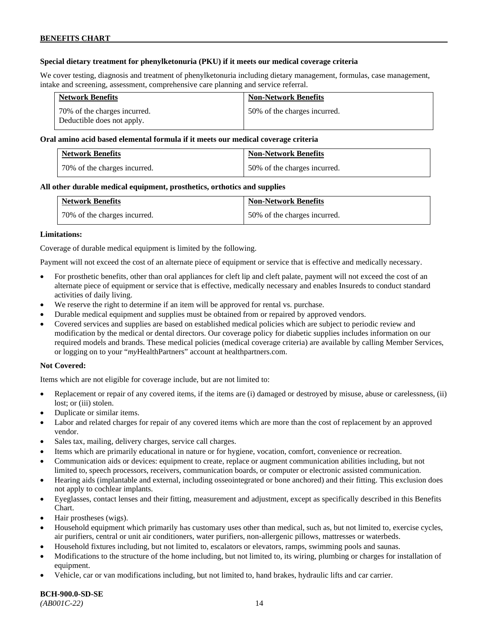## **Special dietary treatment for phenylketonuria (PKU) if it meets our medical coverage criteria**

We cover testing, diagnosis and treatment of phenylketonuria including dietary management, formulas, case management, intake and screening, assessment, comprehensive care planning and service referral.

| <b>Network Benefits</b>                                     | <b>Non-Network Benefits</b>  |
|-------------------------------------------------------------|------------------------------|
| 70\% of the charges incurred.<br>Deductible does not apply. | 50% of the charges incurred. |

#### **Oral amino acid based elemental formula if it meets our medical coverage criteria**

| <b>Network Benefits</b>      | <b>Non-Network Benefits</b>  |
|------------------------------|------------------------------|
| 70% of the charges incurred. | 50% of the charges incurred. |

#### **All other durable medical equipment, prosthetics, orthotics and supplies**

| <b>Network Benefits</b>      | <b>Non-Network Benefits</b>  |
|------------------------------|------------------------------|
| 70% of the charges incurred. | 50% of the charges incurred. |

#### **Limitations:**

Coverage of durable medical equipment is limited by the following.

Payment will not exceed the cost of an alternate piece of equipment or service that is effective and medically necessary.

- For prosthetic benefits, other than oral appliances for cleft lip and cleft palate, payment will not exceed the cost of an alternate piece of equipment or service that is effective, medically necessary and enables Insureds to conduct standard activities of daily living.
- We reserve the right to determine if an item will be approved for rental vs. purchase.
- Durable medical equipment and supplies must be obtained from or repaired by approved vendors.
- Covered services and supplies are based on established medical policies which are subject to periodic review and modification by the medical or dental directors. Our coverage policy for diabetic supplies includes information on our required models and brands. These medical policies (medical coverage criteria) are available by calling Member Services, or logging on to your "*my*HealthPartners" account at [healthpartners.com.](http://www.healthpartners.com/)

#### **Not Covered:**

Items which are not eligible for coverage include, but are not limited to:

- Replacement or repair of any covered items, if the items are (i) damaged or destroyed by misuse, abuse or carelessness, (ii) lost; or (iii) stolen.
- Duplicate or similar items.
- Labor and related charges for repair of any covered items which are more than the cost of replacement by an approved vendor.
- Sales tax, mailing, delivery charges, service call charges.
- Items which are primarily educational in nature or for hygiene, vocation, comfort, convenience or recreation.
- Communication aids or devices: equipment to create, replace or augment communication abilities including, but not limited to, speech processors, receivers, communication boards, or computer or electronic assisted communication.
- Hearing aids (implantable and external, including osseointegrated or bone anchored) and their fitting. This exclusion does not apply to cochlear implants.
- Eyeglasses, contact lenses and their fitting, measurement and adjustment, except as specifically described in this Benefits Chart.
- Hair prostheses (wigs).
- Household equipment which primarily has customary uses other than medical, such as, but not limited to, exercise cycles, air purifiers, central or unit air conditioners, water purifiers, non-allergenic pillows, mattresses or waterbeds.
- Household fixtures including, but not limited to, escalators or elevators, ramps, swimming pools and saunas.
- Modifications to the structure of the home including, but not limited to, its wiring, plumbing or charges for installation of equipment.
- Vehicle, car or van modifications including, but not limited to, hand brakes, hydraulic lifts and car carrier.

**BCH-900.0-SD-SE** 

*(AB001C-22)* 14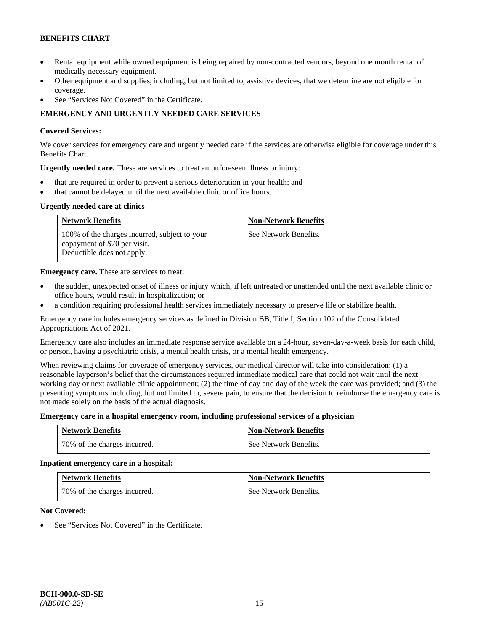- Rental equipment while owned equipment is being repaired by non-contracted vendors, beyond one month rental of medically necessary equipment.
- Other equipment and supplies, including, but not limited to, assistive devices, that we determine are not eligible for coverage.
- See "Services Not Covered" in the Certificate.

## **EMERGENCY AND URGENTLY NEEDED CARE SERVICES**

## **Covered Services:**

We cover services for emergency care and urgently needed care if the services are otherwise eligible for coverage under this Benefits Chart.

**Urgently needed care.** These are services to treat an unforeseen illness or injury:

- that are required in order to prevent a serious deterioration in your health; and
- that cannot be delayed until the next available clinic or office hours.

## **Urgently needed care at clinics**

| <b>Network Benefits</b>                                                                                     | <b>Non-Network Benefits</b> |
|-------------------------------------------------------------------------------------------------------------|-----------------------------|
| 100% of the charges incurred, subject to your<br>copayment of \$70 per visit.<br>Deductible does not apply. | See Network Benefits.       |

**Emergency care.** These are services to treat:

- the sudden, unexpected onset of illness or injury which, if left untreated or unattended until the next available clinic or office hours, would result in hospitalization; or
- a condition requiring professional health services immediately necessary to preserve life or stabilize health.

Emergency care includes emergency services as defined in Division BB, Title I, Section 102 of the Consolidated Appropriations Act of 2021.

Emergency care also includes an immediate response service available on a 24-hour, seven-day-a-week basis for each child, or person, having a psychiatric crisis, a mental health crisis, or a mental health emergency.

When reviewing claims for coverage of emergency services, our medical director will take into consideration: (1) a reasonable layperson's belief that the circumstances required immediate medical care that could not wait until the next working day or next available clinic appointment; (2) the time of day and day of the week the care was provided; and (3) the presenting symptoms including, but not limited to, severe pain, to ensure that the decision to reimburse the emergency care is not made solely on the basis of the actual diagnosis.

## **Emergency care in a hospital emergency room, including professional services of a physician**

| <b>Network Benefits</b>      | <b>Non-Network Benefits</b> |
|------------------------------|-----------------------------|
| 70% of the charges incurred. | See Network Benefits.       |

## **Inpatient emergency care in a hospital:**

| <b>Network Benefits</b>      | <b>Non-Network Benefits</b> |
|------------------------------|-----------------------------|
| 70% of the charges incurred. | See Network Benefits.       |

## **Not Covered:**

See "Services Not Covered" in the Certificate.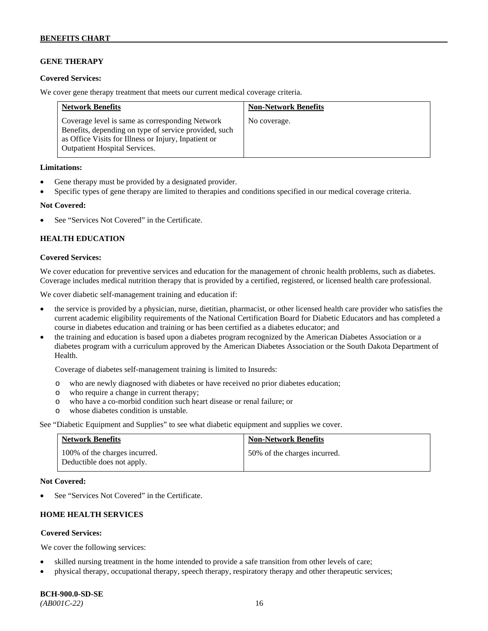## **GENE THERAPY**

#### **Covered Services:**

We cover gene therapy treatment that meets our current medical coverage criteria.

| <b>Network Benefits</b>                                                                                                                                                                                  | <b>Non-Network Benefits</b> |
|----------------------------------------------------------------------------------------------------------------------------------------------------------------------------------------------------------|-----------------------------|
| Coverage level is same as corresponding Network<br>Benefits, depending on type of service provided, such<br>as Office Visits for Illness or Injury, Inpatient or<br><b>Outpatient Hospital Services.</b> | No coverage.                |

#### **Limitations:**

- Gene therapy must be provided by a designated provider.
- Specific types of gene therapy are limited to therapies and conditions specified in our medical coverage criteria.

#### **Not Covered:**

See "Services Not Covered" in the Certificate.

## **HEALTH EDUCATION**

#### **Covered Services:**

We cover education for preventive services and education for the management of chronic health problems, such as diabetes. Coverage includes medical nutrition therapy that is provided by a certified, registered, or licensed health care professional.

We cover diabetic self-management training and education if:

- the service is provided by a physician, nurse, dietitian, pharmacist, or other licensed health care provider who satisfies the current academic eligibility requirements of the National Certification Board for Diabetic Educators and has completed a course in diabetes education and training or has been certified as a diabetes educator; and
- the training and education is based upon a diabetes program recognized by the American Diabetes Association or a diabetes program with a curriculum approved by the American Diabetes Association or the South Dakota Department of Health.

Coverage of diabetes self-management training is limited to Insureds:

- o who are newly diagnosed with diabetes or have received no prior diabetes education;
- o who require a change in current therapy;<br>o who have a co-morbid condition such heal
- who have a co-morbid condition such heart disease or renal failure; or
- o whose diabetes condition is unstable.

See "Diabetic Equipment and Supplies" to see what diabetic equipment and supplies we cover.

| <b>Network Benefits</b>                                     | <b>Non-Network Benefits</b>  |
|-------------------------------------------------------------|------------------------------|
| 100% of the charges incurred.<br>Deductible does not apply. | 50% of the charges incurred. |

#### **Not Covered:**

See "Services Not Covered" in the Certificate.

## **HOME HEALTH SERVICES**

## **Covered Services:**

We cover the following services:

- skilled nursing treatment in the home intended to provide a safe transition from other levels of care;
- physical therapy, occupational therapy, speech therapy, respiratory therapy and other therapeutic services;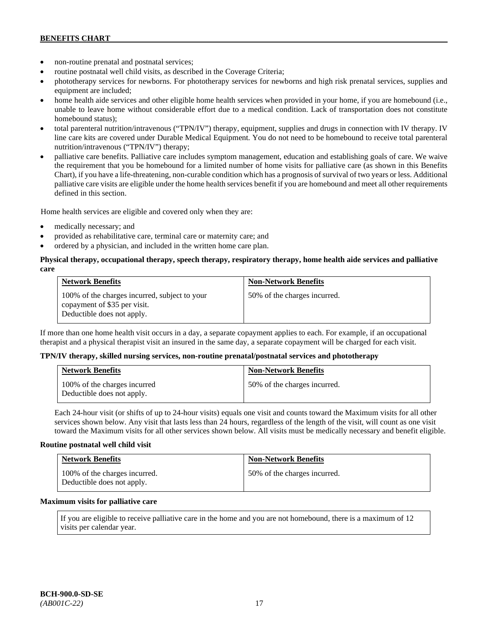- non-routine prenatal and postnatal services;
- routine postnatal well child visits, as described in the Coverage Criteria;
- phototherapy services for newborns. For phototherapy services for newborns and high risk prenatal services, supplies and equipment are included;
- home health aide services and other eligible home health services when provided in your home, if you are homebound (i.e., unable to leave home without considerable effort due to a medical condition. Lack of transportation does not constitute homebound status);
- total parenteral nutrition/intravenous ("TPN/IV") therapy, equipment, supplies and drugs in connection with IV therapy. IV line care kits are covered under Durable Medical Equipment. You do not need to be homebound to receive total parenteral nutrition/intravenous ("TPN/IV") therapy;
- palliative care benefits. Palliative care includes symptom management, education and establishing goals of care. We waive the requirement that you be homebound for a limited number of home visits for palliative care (as shown in this Benefits Chart), if you have a life-threatening, non-curable condition which has a prognosis of survival of two years or less. Additional palliative care visits are eligible under the home health services benefit if you are homebound and meet all other requirements defined in this section.

Home health services are eligible and covered only when they are:

- medically necessary; and
- provided as rehabilitative care, terminal care or maternity care; and
- ordered by a physician, and included in the written home care plan.

### **Physical therapy, occupational therapy, speech therapy, respiratory therapy, home health aide services and palliative care**

| <b>Network Benefits</b>                                                                                     | <b>Non-Network Benefits</b>  |
|-------------------------------------------------------------------------------------------------------------|------------------------------|
| 100% of the charges incurred, subject to your<br>copayment of \$35 per visit.<br>Deductible does not apply. | 50% of the charges incurred. |

If more than one home health visit occurs in a day, a separate copayment applies to each. For example, if an occupational therapist and a physical therapist visit an insured in the same day, a separate copayment will be charged for each visit.

#### **TPN/IV therapy, skilled nursing services, non-routine prenatal/postnatal services and phototherapy**

| <b>Network Benefits</b>                                    | <b>Non-Network Benefits</b>  |
|------------------------------------------------------------|------------------------------|
| 100% of the charges incurred<br>Deductible does not apply. | 50% of the charges incurred. |

Each 24-hour visit (or shifts of up to 24-hour visits) equals one visit and counts toward the Maximum visits for all other services shown below. Any visit that lasts less than 24 hours, regardless of the length of the visit, will count as one visit toward the Maximum visits for all other services shown below. All visits must be medically necessary and benefit eligible.

#### **Routine postnatal well child visit**

| <b>Network Benefits</b>                                     | <b>Non-Network Benefits</b>  |
|-------------------------------------------------------------|------------------------------|
| 100% of the charges incurred.<br>Deductible does not apply. | 50% of the charges incurred. |

#### **Maximum visits for palliative care**

If you are eligible to receive palliative care in the home and you are not homebound, there is a maximum of 12 visits per calendar year.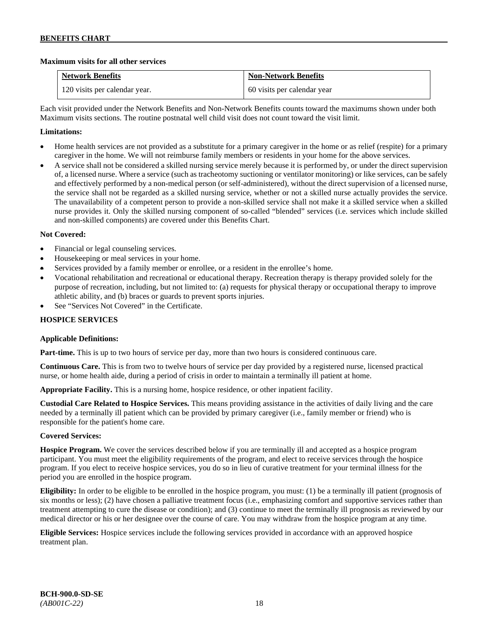## **Maximum visits for all other services**

| <b>Network Benefits</b>       | <b>Non-Network Benefits</b> |
|-------------------------------|-----------------------------|
| 120 visits per calendar year. | 60 visits per calendar year |

Each visit provided under the Network Benefits and Non-Network Benefits counts toward the maximums shown under both Maximum visits sections. The routine postnatal well child visit does not count toward the visit limit.

## **Limitations:**

- Home health services are not provided as a substitute for a primary caregiver in the home or as relief (respite) for a primary caregiver in the home. We will not reimburse family members or residents in your home for the above services.
- A service shall not be considered a skilled nursing service merely because it is performed by, or under the direct supervision of, a licensed nurse. Where a service (such as tracheotomy suctioning or ventilator monitoring) or like services, can be safely and effectively performed by a non-medical person (or self-administered), without the direct supervision of a licensed nurse, the service shall not be regarded as a skilled nursing service, whether or not a skilled nurse actually provides the service. The unavailability of a competent person to provide a non-skilled service shall not make it a skilled service when a skilled nurse provides it. Only the skilled nursing component of so-called "blended" services (i.e. services which include skilled and non-skilled components) are covered under this Benefits Chart.

## **Not Covered:**

- Financial or legal counseling services.
- Housekeeping or meal services in your home.
- Services provided by a family member or enrollee, or a resident in the enrollee's home.
- Vocational rehabilitation and recreational or educational therapy. Recreation therapy is therapy provided solely for the purpose of recreation, including, but not limited to: (a) requests for physical therapy or occupational therapy to improve athletic ability, and (b) braces or guards to prevent sports injuries.
- See "Services Not Covered" in the Certificate.

## **HOSPICE SERVICES**

## **Applicable Definitions:**

**Part-time.** This is up to two hours of service per day, more than two hours is considered continuous care.

**Continuous Care.** This is from two to twelve hours of service per day provided by a registered nurse, licensed practical nurse, or home health aide, during a period of crisis in order to maintain a terminally ill patient at home.

**Appropriate Facility.** This is a nursing home, hospice residence, or other inpatient facility.

**Custodial Care Related to Hospice Services.** This means providing assistance in the activities of daily living and the care needed by a terminally ill patient which can be provided by primary caregiver (i.e., family member or friend) who is responsible for the patient's home care.

## **Covered Services:**

**Hospice Program.** We cover the services described below if you are terminally ill and accepted as a hospice program participant. You must meet the eligibility requirements of the program, and elect to receive services through the hospice program. If you elect to receive hospice services, you do so in lieu of curative treatment for your terminal illness for the period you are enrolled in the hospice program.

**Eligibility:** In order to be eligible to be enrolled in the hospice program, you must: (1) be a terminally ill patient (prognosis of six months or less); (2) have chosen a palliative treatment focus (i.e., emphasizing comfort and supportive services rather than treatment attempting to cure the disease or condition); and (3) continue to meet the terminally ill prognosis as reviewed by our medical director or his or her designee over the course of care. You may withdraw from the hospice program at any time.

**Eligible Services:** Hospice services include the following services provided in accordance with an approved hospice treatment plan.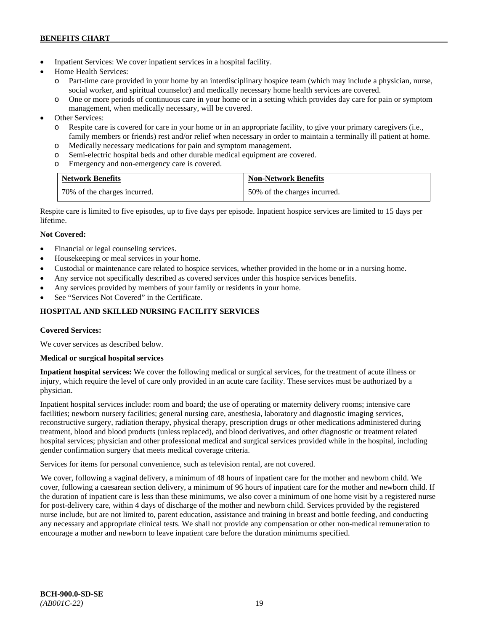- Inpatient Services: We cover inpatient services in a hospital facility.
- Home Health Services:
	- o Part-time care provided in your home by an interdisciplinary hospice team (which may include a physician, nurse, social worker, and spiritual counselor) and medically necessary home health services are covered.
	- o One or more periods of continuous care in your home or in a setting which provides day care for pain or symptom management, when medically necessary, will be covered.
- Other Services:
	- o Respite care is covered for care in your home or in an appropriate facility, to give your primary caregivers (i.e., family members or friends) rest and/or relief when necessary in order to maintain a terminally ill patient at home*.*
	- o Medically necessary medications for pain and symptom management.
	- o Semi-electric hospital beds and other durable medical equipment are covered.
	- o Emergency and non-emergency care is covered.

| <b>Network Benefits</b>      | <b>Non-Network Benefits</b>  |
|------------------------------|------------------------------|
| 70% of the charges incurred. | 50% of the charges incurred. |

Respite care is limited to five episodes, up to five days per episode. Inpatient hospice services are limited to 15 days per lifetime.

## **Not Covered:**

- Financial or legal counseling services.
- Housekeeping or meal services in your home.
- Custodial or maintenance care related to hospice services, whether provided in the home or in a nursing home.
- Any service not specifically described as covered services under this hospice services benefits.
- Any services provided by members of your family or residents in your home.
- See "Services Not Covered" in the Certificate.

## **HOSPITAL AND SKILLED NURSING FACILITY SERVICES**

## **Covered Services:**

We cover services as described below.

## **Medical or surgical hospital services**

**Inpatient hospital services:** We cover the following medical or surgical services, for the treatment of acute illness or injury, which require the level of care only provided in an acute care facility. These services must be authorized by a physician.

Inpatient hospital services include: room and board; the use of operating or maternity delivery rooms; intensive care facilities; newborn nursery facilities; general nursing care, anesthesia, laboratory and diagnostic imaging services, reconstructive surgery, radiation therapy, physical therapy, prescription drugs or other medications administered during treatment, blood and blood products (unless replaced), and blood derivatives, and other diagnostic or treatment related hospital services; physician and other professional medical and surgical services provided while in the hospital, including gender confirmation surgery that meets medical coverage criteria.

Services for items for personal convenience, such as television rental, are not covered.

We cover, following a vaginal delivery, a minimum of 48 hours of inpatient care for the mother and newborn child. We cover, following a caesarean section delivery, a minimum of 96 hours of inpatient care for the mother and newborn child. If the duration of inpatient care is less than these minimums, we also cover a minimum of one home visit by a registered nurse for post-delivery care, within 4 days of discharge of the mother and newborn child. Services provided by the registered nurse include, but are not limited to, parent education, assistance and training in breast and bottle feeding, and conducting any necessary and appropriate clinical tests. We shall not provide any compensation or other non-medical remuneration to encourage a mother and newborn to leave inpatient care before the duration minimums specified.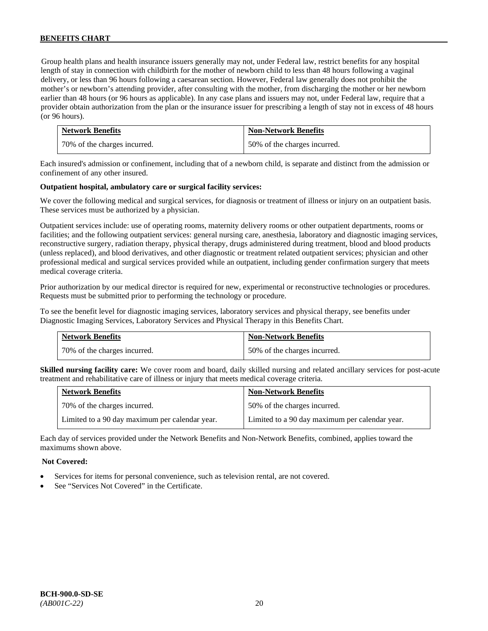Group health plans and health insurance issuers generally may not, under Federal law, restrict benefits for any hospital length of stay in connection with childbirth for the mother of newborn child to less than 48 hours following a vaginal delivery, or less than 96 hours following a caesarean section. However, Federal law generally does not prohibit the mother's or newborn's attending provider, after consulting with the mother, from discharging the mother or her newborn earlier than 48 hours (or 96 hours as applicable). In any case plans and issuers may not, under Federal law, require that a provider obtain authorization from the plan or the insurance issuer for prescribing a length of stay not in excess of 48 hours (or 96 hours).

| <b>Network Benefits</b>      | <b>Non-Network Benefits</b>  |
|------------------------------|------------------------------|
| 70% of the charges incurred. | 50% of the charges incurred. |

Each insured's admission or confinement, including that of a newborn child, is separate and distinct from the admission or confinement of any other insured.

#### **Outpatient hospital, ambulatory care or surgical facility services:**

We cover the following medical and surgical services, for diagnosis or treatment of illness or injury on an outpatient basis. These services must be authorized by a physician.

Outpatient services include: use of operating rooms, maternity delivery rooms or other outpatient departments, rooms or facilities; and the following outpatient services: general nursing care, anesthesia, laboratory and diagnostic imaging services, reconstructive surgery, radiation therapy, physical therapy, drugs administered during treatment, blood and blood products (unless replaced), and blood derivatives, and other diagnostic or treatment related outpatient services; physician and other professional medical and surgical services provided while an outpatient, including gender confirmation surgery that meets medical coverage criteria.

Prior authorization by our medical director is required for new, experimental or reconstructive technologies or procedures. Requests must be submitted prior to performing the technology or procedure.

To see the benefit level for diagnostic imaging services, laboratory services and physical therapy, see benefits under Diagnostic Imaging Services, Laboratory Services and Physical Therapy in this Benefits Chart.

| <b>Network Benefits</b>      | <b>Non-Network Benefits</b>  |
|------------------------------|------------------------------|
| 70% of the charges incurred. | 50% of the charges incurred. |

**Skilled nursing facility care:** We cover room and board, daily skilled nursing and related ancillary services for post-acute treatment and rehabilitative care of illness or injury that meets medical coverage criteria.

| <b>Network Benefits</b>                        | <b>Non-Network Benefits</b>                    |
|------------------------------------------------|------------------------------------------------|
| 70% of the charges incurred.                   | 50% of the charges incurred.                   |
| Limited to a 90 day maximum per calendar year. | Limited to a 90 day maximum per calendar year. |

Each day of services provided under the Network Benefits and Non-Network Benefits, combined, applies toward the maximums shown above.

#### **Not Covered:**

- Services for items for personal convenience, such as television rental, are not covered.
- See "Services Not Covered" in the Certificate.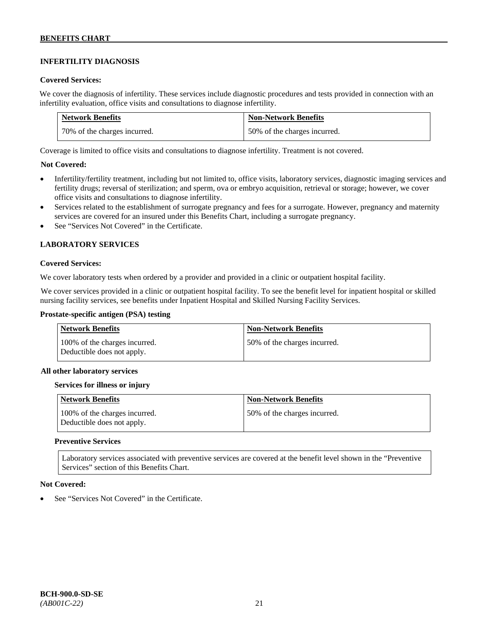## **INFERTILITY DIAGNOSIS**

#### **Covered Services:**

We cover the diagnosis of infertility. These services include diagnostic procedures and tests provided in connection with an infertility evaluation, office visits and consultations to diagnose infertility.

| <b>Network Benefits</b>       | <b>Non-Network Benefits</b>  |
|-------------------------------|------------------------------|
| 170% of the charges incurred. | 50% of the charges incurred. |

Coverage is limited to office visits and consultations to diagnose infertility. Treatment is not covered.

## **Not Covered:**

- Infertility/fertility treatment, including but not limited to, office visits, laboratory services, diagnostic imaging services and fertility drugs; reversal of sterilization; and sperm, ova or embryo acquisition, retrieval or storage; however, we cover office visits and consultations to diagnose infertility.
- Services related to the establishment of surrogate pregnancy and fees for a surrogate. However, pregnancy and maternity services are covered for an insured under this Benefits Chart, including a surrogate pregnancy.
- See "Services Not Covered" in the Certificate.

## **LABORATORY SERVICES**

#### **Covered Services:**

We cover laboratory tests when ordered by a provider and provided in a clinic or outpatient hospital facility.

We cover services provided in a clinic or outpatient hospital facility. To see the benefit level for inpatient hospital or skilled nursing facility services, see benefits under Inpatient Hospital and Skilled Nursing Facility Services.

### **Prostate-specific antigen (PSA) testing**

| Network Benefits                                            | <b>Non-Network Benefits</b>  |
|-------------------------------------------------------------|------------------------------|
| 100% of the charges incurred.<br>Deductible does not apply. | 50% of the charges incurred. |

#### **All other laboratory services**

#### **Services for illness or injury**

| <b>Network Benefits</b>                                     | <b>Non-Network Benefits</b>  |
|-------------------------------------------------------------|------------------------------|
| 100% of the charges incurred.<br>Deductible does not apply. | 50% of the charges incurred. |

#### **Preventive Services**

Laboratory services associated with preventive services are covered at the benefit level shown in the "Preventive Services" section of this Benefits Chart.

## **Not Covered:**

See "Services Not Covered" in the Certificate.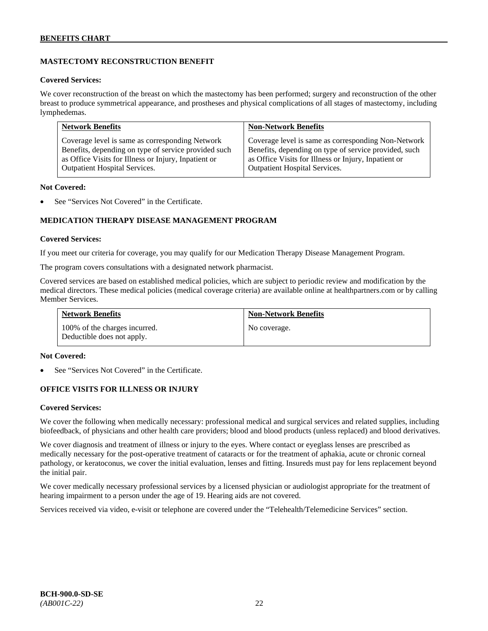## **MASTECTOMY RECONSTRUCTION BENEFIT**

#### **Covered Services:**

We cover reconstruction of the breast on which the mastectomy has been performed; surgery and reconstruction of the other breast to produce symmetrical appearance, and prostheses and physical complications of all stages of mastectomy, including lymphedemas.

| <b>Network Benefits</b>                              | <b>Non-Network Benefits</b>                           |
|------------------------------------------------------|-------------------------------------------------------|
| Coverage level is same as corresponding Network      | Coverage level is same as corresponding Non-Network   |
| Benefits, depending on type of service provided such | Benefits, depending on type of service provided, such |
| as Office Visits for Illness or Injury, Inpatient or | as Office Visits for Illness or Injury, Inpatient or  |
| Outpatient Hospital Services.                        | <b>Outpatient Hospital Services.</b>                  |

#### **Not Covered:**

See "Services Not Covered" in the Certificate.

## **MEDICATION THERAPY DISEASE MANAGEMENT PROGRAM**

#### **Covered Services:**

If you meet our criteria for coverage, you may qualify for our Medication Therapy Disease Management Program.

The program covers consultations with a designated network pharmacist.

Covered services are based on established medical policies, which are subject to periodic review and modification by the medical directors. These medical policies (medical coverage criteria) are available online at [healthpartners.com](http://www.healthpartners.com/) or by calling Member Services.

| <b>Network Benefits</b>                                     | <b>Non-Network Benefits</b> |
|-------------------------------------------------------------|-----------------------------|
| 100% of the charges incurred.<br>Deductible does not apply. | No coverage.                |

#### **Not Covered:**

See "Services Not Covered" in the Certificate.

## **OFFICE VISITS FOR ILLNESS OR INJURY**

## **Covered Services:**

We cover the following when medically necessary: professional medical and surgical services and related supplies, including biofeedback, of physicians and other health care providers; blood and blood products (unless replaced) and blood derivatives.

We cover diagnosis and treatment of illness or injury to the eyes. Where contact or eyeglass lenses are prescribed as medically necessary for the post-operative treatment of cataracts or for the treatment of aphakia, acute or chronic corneal pathology, or keratoconus, we cover the initial evaluation, lenses and fitting. Insureds must pay for lens replacement beyond the initial pair.

We cover medically necessary professional services by a licensed physician or audiologist appropriate for the treatment of hearing impairment to a person under the age of 19. Hearing aids are not covered.

Services received via video, e-visit or telephone are covered under the "Telehealth/Telemedicine Services" section.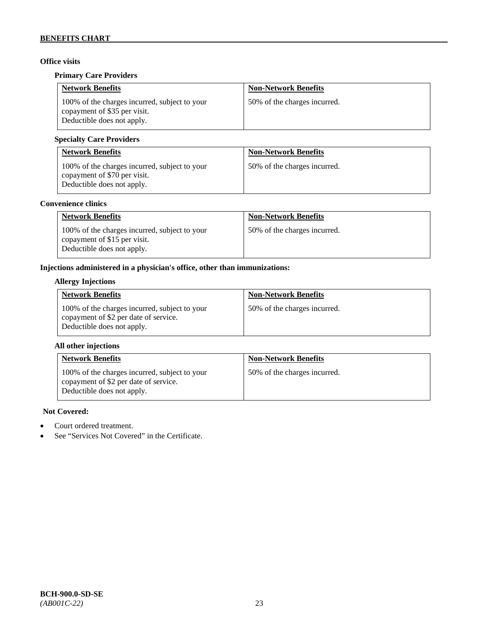## **Office visits**

## **Primary Care Providers**

| <b>Network Benefits</b>                                                                                     | <b>Non-Network Benefits</b>  |
|-------------------------------------------------------------------------------------------------------------|------------------------------|
| 100% of the charges incurred, subject to your<br>copayment of \$35 per visit.<br>Deductible does not apply. | 50% of the charges incurred. |

## **Specialty Care Providers**

| <b>Network Benefits</b>                                                                                     | <b>Non-Network Benefits</b>  |
|-------------------------------------------------------------------------------------------------------------|------------------------------|
| 100% of the charges incurred, subject to your<br>copayment of \$70 per visit.<br>Deductible does not apply. | 50% of the charges incurred. |

## **Convenience clinics**

| <b>Network Benefits</b>                                                                                     | <b>Non-Network Benefits</b>  |
|-------------------------------------------------------------------------------------------------------------|------------------------------|
| 100% of the charges incurred, subject to your<br>copayment of \$15 per visit.<br>Deductible does not apply. | 50% of the charges incurred. |

## **Injections administered in a physician's office, other than immunizations:**

## **Allergy Injections**

| <b>Network Benefits</b>                                                                                              | <b>Non-Network Benefits</b>  |
|----------------------------------------------------------------------------------------------------------------------|------------------------------|
| 100% of the charges incurred, subject to your<br>copayment of \$2 per date of service.<br>Deductible does not apply. | 50% of the charges incurred. |

## **All other injections**

| <b>Network Benefits</b>                                                                                              | <b>Non-Network Benefits</b>  |
|----------------------------------------------------------------------------------------------------------------------|------------------------------|
| 100% of the charges incurred, subject to your<br>copayment of \$2 per date of service.<br>Deductible does not apply. | 50% of the charges incurred. |

## **Not Covered:**

- Court ordered treatment.
- See "Services Not Covered" in the Certificate.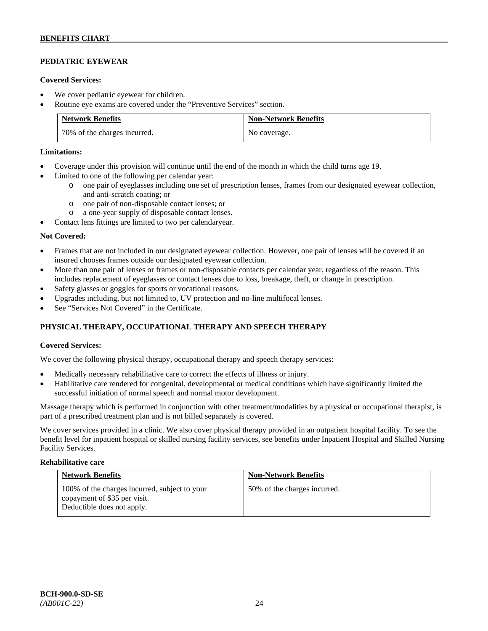## **PEDIATRIC EYEWEAR**

### **Covered Services:**

- We cover pediatric eyewear for children.
- Routine eye exams are covered under the "Preventive Services" section.

| <b>Network Benefits</b>      | <b>Non-Network Benefits</b> |
|------------------------------|-----------------------------|
| 70% of the charges incurred. | No coverage.                |

### **Limitations:**

- Coverage under this provision will continue until the end of the month in which the child turns age 19.
- Limited to one of the following per calendar year:
	- o one pair of eyeglasses including one set of prescription lenses, frames from our designated eyewear collection, and anti-scratch coating; or
	- o one pair of non-disposable contact lenses; or
	- a one-year supply of disposable contact lenses.
- Contact lens fittings are limited to two per calendaryear.

#### **Not Covered:**

- Frames that are not included in our designated eyewear collection. However, one pair of lenses will be covered if an insured chooses frames outside our designated eyewear collection.
- More than one pair of lenses or frames or non-disposable contacts per calendar year, regardless of the reason. This includes replacement of eyeglasses or contact lenses due to loss, breakage, theft, or change in prescription.
- Safety glasses or goggles for sports or vocational reasons.
- Upgrades including, but not limited to, UV protection and no-line multifocal lenses.
- See "Services Not Covered" in the Certificate.

## **PHYSICAL THERAPY, OCCUPATIONAL THERAPY AND SPEECH THERAPY**

## **Covered Services:**

We cover the following physical therapy, occupational therapy and speech therapy services:

- Medically necessary rehabilitative care to correct the effects of illness or injury.
- Habilitative care rendered for congenital, developmental or medical conditions which have significantly limited the successful initiation of normal speech and normal motor development.

Massage therapy which is performed in conjunction with other treatment/modalities by a physical or occupational therapist, is part of a prescribed treatment plan and is not billed separately is covered.

We cover services provided in a clinic. We also cover physical therapy provided in an outpatient hospital facility. To see the benefit level for inpatient hospital or skilled nursing facility services, see benefits under Inpatient Hospital and Skilled Nursing Facility Services.

#### **Rehabilitative care**

| <b>Network Benefits</b>                                                                                     | <b>Non-Network Benefits</b>  |
|-------------------------------------------------------------------------------------------------------------|------------------------------|
| 100% of the charges incurred, subject to your<br>copayment of \$35 per visit.<br>Deductible does not apply. | 50% of the charges incurred. |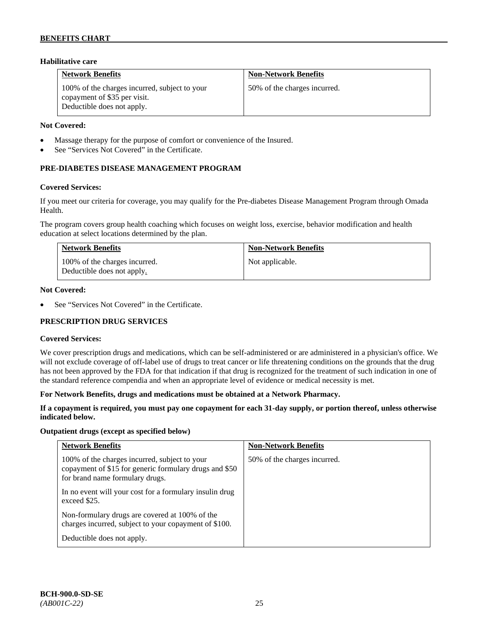## **Habilitative care**

| <b>Network Benefits</b>                                                                                     | <b>Non-Network Benefits</b>  |
|-------------------------------------------------------------------------------------------------------------|------------------------------|
| 100% of the charges incurred, subject to your<br>copayment of \$35 per visit.<br>Deductible does not apply. | 50% of the charges incurred. |

#### **Not Covered:**

- Massage therapy for the purpose of comfort or convenience of the Insured.
- See "Services Not Covered" in the Certificate.

## **PRE-DIABETES DISEASE MANAGEMENT PROGRAM**

#### **Covered Services:**

If you meet our criteria for coverage, you may qualify for the Pre-diabetes Disease Management Program through Omada Health.

The program covers group health coaching which focuses on weight loss, exercise, behavior modification and health education at select locations determined by the plan.

| <b>Network Benefits</b>                                     | <b>Non-Network Benefits</b> |
|-------------------------------------------------------------|-----------------------------|
| 100% of the charges incurred.<br>Deductible does not apply. | Not applicable.             |

#### **Not Covered:**

See "Services Not Covered" in the Certificate.

## **PRESCRIPTION DRUG SERVICES**

#### **Covered Services:**

We cover prescription drugs and medications, which can be self-administered or are administered in a physician's office. We will not exclude coverage of off-label use of drugs to treat cancer or life threatening conditions on the grounds that the drug has not been approved by the FDA for that indication if that drug is recognized for the treatment of such indication in one of the standard reference compendia and when an appropriate level of evidence or medical necessity is met.

#### **For Network Benefits, drugs and medications must be obtained at a Network Pharmacy.**

## **If a copayment is required, you must pay one copayment for each 31-day supply, or portion thereof, unless otherwise indicated below.**

#### **Outpatient drugs (except as specified below)**

| <b>Network Benefits</b>                                                                                                                    | <b>Non-Network Benefits</b>  |
|--------------------------------------------------------------------------------------------------------------------------------------------|------------------------------|
| 100% of the charges incurred, subject to your<br>copayment of \$15 for generic formulary drugs and \$50<br>for brand name formulary drugs. | 50% of the charges incurred. |
| In no event will your cost for a formulary insulin drug<br>exceed \$25.                                                                    |                              |
| Non-formulary drugs are covered at 100% of the<br>charges incurred, subject to your copayment of \$100.                                    |                              |
| Deductible does not apply.                                                                                                                 |                              |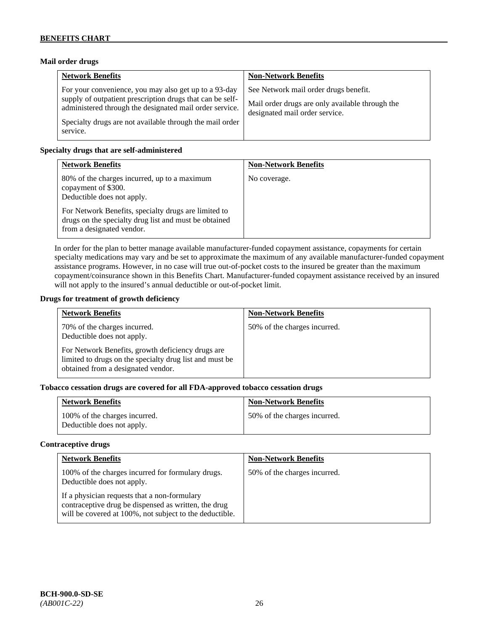## **Mail order drugs**

| <b>Network Benefits</b>                                                                                                                                                                                                                               | <b>Non-Network Benefits</b>                                                                                                |
|-------------------------------------------------------------------------------------------------------------------------------------------------------------------------------------------------------------------------------------------------------|----------------------------------------------------------------------------------------------------------------------------|
| For your convenience, you may also get up to a 93-day<br>supply of outpatient prescription drugs that can be self-<br>administered through the designated mail order service.<br>Specialty drugs are not available through the mail order<br>service. | See Network mail order drugs benefit.<br>Mail order drugs are only available through the<br>designated mail order service. |

### **Specialty drugs that are self-administered**

| <b>Network Benefits</b>                                                                                                                                                                                                                         | <b>Non-Network Benefits</b> |
|-------------------------------------------------------------------------------------------------------------------------------------------------------------------------------------------------------------------------------------------------|-----------------------------|
| 80% of the charges incurred, up to a maximum<br>copayment of \$300.<br>Deductible does not apply.<br>For Network Benefits, specialty drugs are limited to<br>drugs on the specialty drug list and must be obtained<br>from a designated vendor. | No coverage.                |

In order for the plan to better manage available manufacturer-funded copayment assistance, copayments for certain specialty medications may vary and be set to approximate the maximum of any available manufacturer-funded copayment assistance programs. However, in no case will true out-of-pocket costs to the insured be greater than the maximum copayment/coinsurance shown in this Benefits Chart. Manufacturer-funded copayment assistance received by an insured will not apply to the insured's annual deductible or out-of-pocket limit.

#### **Drugs for treatment of growth deficiency**

| <b>Network Benefits</b>                                                                                                                            | <b>Non-Network Benefits</b>  |
|----------------------------------------------------------------------------------------------------------------------------------------------------|------------------------------|
| 70% of the charges incurred.<br>Deductible does not apply.                                                                                         | 50% of the charges incurred. |
| For Network Benefits, growth deficiency drugs are<br>limited to drugs on the specialty drug list and must be<br>obtained from a designated vendor. |                              |

## **Tobacco cessation drugs are covered for all FDA-approved tobacco cessation drugs**

| <b>Network Benefits</b>                                     | <b>Non-Network Benefits</b>  |
|-------------------------------------------------------------|------------------------------|
| 100% of the charges incurred.<br>Deductible does not apply. | 50% of the charges incurred. |

#### **Contraceptive drugs**

| <b>Network Benefits</b>                                                                                                                                         | <b>Non-Network Benefits</b>  |
|-----------------------------------------------------------------------------------------------------------------------------------------------------------------|------------------------------|
| 100% of the charges incurred for formulary drugs.<br>Deductible does not apply.                                                                                 | 50% of the charges incurred. |
| If a physician requests that a non-formulary<br>contraceptive drug be dispensed as written, the drug<br>will be covered at 100%, not subject to the deductible. |                              |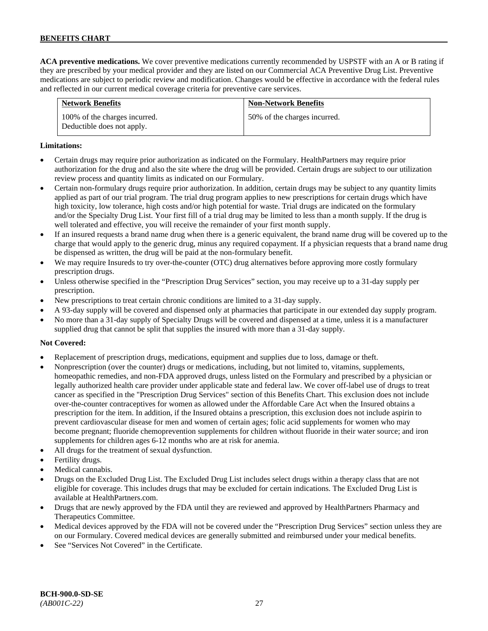**ACA preventive medications.** We cover preventive medications currently recommended by USPSTF with an A or B rating if they are prescribed by your medical provider and they are listed on our Commercial ACA Preventive Drug List. Preventive medications are subject to periodic review and modification. Changes would be effective in accordance with the federal rules and reflected in our current medical coverage criteria for preventive care services.

| <b>Network Benefits</b>                                     | <b>Non-Network Benefits</b>  |
|-------------------------------------------------------------|------------------------------|
| 100% of the charges incurred.<br>Deductible does not apply. | 50% of the charges incurred. |

## **Limitations:**

- Certain drugs may require prior authorization as indicated on the Formulary. HealthPartners may require prior authorization for the drug and also the site where the drug will be provided. Certain drugs are subject to our utilization review process and quantity limits as indicated on our Formulary.
- Certain non-formulary drugs require prior authorization. In addition, certain drugs may be subject to any quantity limits applied as part of our trial program. The trial drug program applies to new prescriptions for certain drugs which have high toxicity, low tolerance, high costs and/or high potential for waste. Trial drugs are indicated on the formulary and/or the Specialty Drug List. Your first fill of a trial drug may be limited to less than a month supply. If the drug is well tolerated and effective, you will receive the remainder of your first month supply.
- If an insured requests a brand name drug when there is a generic equivalent, the brand name drug will be covered up to the charge that would apply to the generic drug, minus any required copayment. If a physician requests that a brand name drug be dispensed as written, the drug will be paid at the non-formulary benefit.
- We may require Insureds to try over-the-counter (OTC) drug alternatives before approving more costly formulary prescription drugs.
- Unless otherwise specified in the "Prescription Drug Services" section, you may receive up to a 31-day supply per prescription.
- New prescriptions to treat certain chronic conditions are limited to a 31-day supply.
- A 93-day supply will be covered and dispensed only at pharmacies that participate in our extended day supply program.
- No more than a 31-day supply of Specialty Drugs will be covered and dispensed at a time, unless it is a manufacturer supplied drug that cannot be split that supplies the insured with more than a 31-day supply.

## **Not Covered:**

- Replacement of prescription drugs, medications, equipment and supplies due to loss, damage or theft.
- Nonprescription (over the counter) drugs or medications, including, but not limited to, vitamins, supplements, homeopathic remedies, and non-FDA approved drugs, unless listed on the Formulary and prescribed by a physician or legally authorized health care provider under applicable state and federal law. We cover off-label use of drugs to treat cancer as specified in the "Prescription Drug Services" section of this Benefits Chart. This exclusion does not include over-the-counter contraceptives for women as allowed under the Affordable Care Act when the Insured obtains a prescription for the item. In addition, if the Insured obtains a prescription, this exclusion does not include aspirin to prevent cardiovascular disease for men and women of certain ages; folic acid supplements for women who may become pregnant; fluoride chemoprevention supplements for children without fluoride in their water source; and iron supplements for children ages 6-12 months who are at risk for anemia.
- All drugs for the treatment of sexual dysfunction.
- Fertility drugs.
- Medical cannabis.
- Drugs on the Excluded Drug List. The Excluded Drug List includes select drugs within a therapy class that are not eligible for coverage. This includes drugs that may be excluded for certain indications. The Excluded Drug List is available a[t HealthPartners.com.](http://www.healthpartners.com/)
- Drugs that are newly approved by the FDA until they are reviewed and approved by HealthPartners Pharmacy and Therapeutics Committee.
- Medical devices approved by the FDA will not be covered under the "Prescription Drug Services" section unless they are on our Formulary. Covered medical devices are generally submitted and reimbursed under your medical benefits.
- See "Services Not Covered" in the Certificate.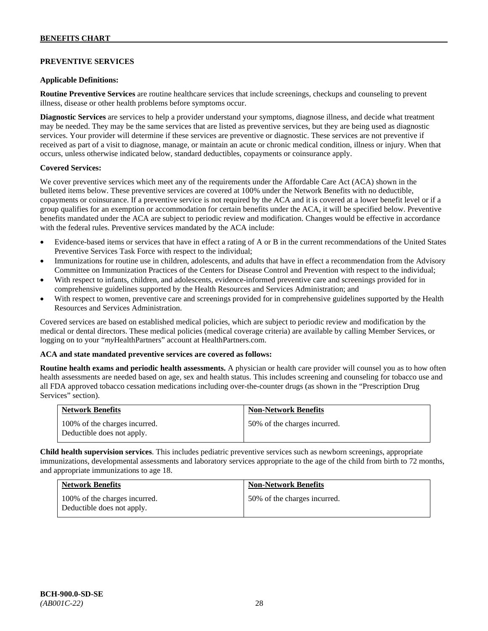## **PREVENTIVE SERVICES**

#### **Applicable Definitions:**

**Routine Preventive Services** are routine healthcare services that include screenings, checkups and counseling to prevent illness, disease or other health problems before symptoms occur.

**Diagnostic Services** are services to help a provider understand your symptoms, diagnose illness, and decide what treatment may be needed. They may be the same services that are listed as preventive services, but they are being used as diagnostic services. Your provider will determine if these services are preventive or diagnostic. These services are not preventive if received as part of a visit to diagnose, manage, or maintain an acute or chronic medical condition, illness or injury. When that occurs, unless otherwise indicated below, standard deductibles, copayments or coinsurance apply.

#### **Covered Services:**

We cover preventive services which meet any of the requirements under the Affordable Care Act (ACA) shown in the bulleted items below. These preventive services are covered at 100% under the Network Benefits with no deductible, copayments or coinsurance. If a preventive service is not required by the ACA and it is covered at a lower benefit level or if a group qualifies for an exemption or accommodation for certain benefits under the ACA, it will be specified below. Preventive benefits mandated under the ACA are subject to periodic review and modification. Changes would be effective in accordance with the federal rules. Preventive services mandated by the ACA include:

- Evidence-based items or services that have in effect a rating of A or B in the current recommendations of the United States Preventive Services Task Force with respect to the individual;
- Immunizations for routine use in children, adolescents, and adults that have in effect a recommendation from the Advisory Committee on Immunization Practices of the Centers for Disease Control and Prevention with respect to the individual;
- With respect to infants, children, and adolescents, evidence-informed preventive care and screenings provided for in comprehensive guidelines supported by the Health Resources and Services Administration; and
- With respect to women, preventive care and screenings provided for in comprehensive guidelines supported by the Health Resources and Services Administration.

Covered services are based on established medical policies, which are subject to periodic review and modification by the medical or dental directors. These medical policies (medical coverage criteria) are available by calling Member Services, or logging on to your "myHealthPartners" account at [HealthPartners.com.](http://www.healthpartners.com/)

#### **ACA and state mandated preventive services are covered as follows:**

**Routine health exams and periodic health assessments.** A physician or health care provider will counsel you as to how often health assessments are needed based on age, sex and health status. This includes screening and counseling for tobacco use and all FDA approved tobacco cessation medications including over-the-counter drugs (as shown in the "Prescription Drug Services" section).

| <b>Network Benefits</b>                                     | <b>Non-Network Benefits</b>  |
|-------------------------------------------------------------|------------------------------|
| 100% of the charges incurred.<br>Deductible does not apply. | 50% of the charges incurred. |

**Child health supervision services**. This includes pediatric preventive services such as newborn screenings, appropriate immunizations, developmental assessments and laboratory services appropriate to the age of the child from birth to 72 months, and appropriate immunizations to age 18.

| <b>Network Benefits</b>                                     | <b>Non-Network Benefits</b>  |
|-------------------------------------------------------------|------------------------------|
| 100% of the charges incurred.<br>Deductible does not apply. | 50% of the charges incurred. |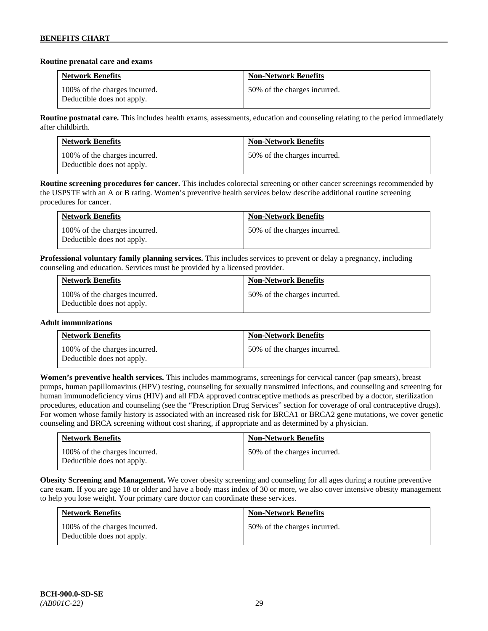### **Routine prenatal care and exams**

| <b>Network Benefits</b>                                     | <b>Non-Network Benefits</b>  |
|-------------------------------------------------------------|------------------------------|
| 100% of the charges incurred.<br>Deductible does not apply. | 50% of the charges incurred. |

**Routine postnatal care.** This includes health exams, assessments, education and counseling relating to the period immediately after childbirth.

| <b>Network Benefits</b>                                     | <b>Non-Network Benefits</b>  |
|-------------------------------------------------------------|------------------------------|
| 100% of the charges incurred.<br>Deductible does not apply. | 50% of the charges incurred. |

**Routine screening procedures for cancer.** This includes colorectal screening or other cancer screenings recommended by the USPSTF with an A or B rating. Women's preventive health services below describe additional routine screening procedures for cancer.

| Network Benefits                                            | <b>Non-Network Benefits</b>  |
|-------------------------------------------------------------|------------------------------|
| 100% of the charges incurred.<br>Deductible does not apply. | 50% of the charges incurred. |

**Professional voluntary family planning services.** This includes services to prevent or delay a pregnancy, including counseling and education. Services must be provided by a licensed provider.

| <b>Network Benefits</b>                                     | <b>Non-Network Benefits</b>  |
|-------------------------------------------------------------|------------------------------|
| 100% of the charges incurred.<br>Deductible does not apply. | 50% of the charges incurred. |

## **Adult immunizations**

| <b>Network Benefits</b>                                     | <b>Non-Network Benefits</b>  |
|-------------------------------------------------------------|------------------------------|
| 100% of the charges incurred.<br>Deductible does not apply. | 50% of the charges incurred. |

**Women's preventive health services.** This includes mammograms, screenings for cervical cancer (pap smears), breast pumps, human papillomavirus (HPV) testing, counseling for sexually transmitted infections, and counseling and screening for human immunodeficiency virus (HIV) and all FDA approved contraceptive methods as prescribed by a doctor, sterilization procedures, education and counseling (see the "Prescription Drug Services" section for coverage of oral contraceptive drugs). For women whose family history is associated with an increased risk for BRCA1 or BRCA2 gene mutations, we cover genetic counseling and BRCA screening without cost sharing, if appropriate and as determined by a physician.

| <b>Network Benefits</b>                                     | <b>Non-Network Benefits</b>  |
|-------------------------------------------------------------|------------------------------|
| 100% of the charges incurred.<br>Deductible does not apply. | 50% of the charges incurred. |

**Obesity Screening and Management.** We cover obesity screening and counseling for all ages during a routine preventive care exam. If you are age 18 or older and have a body mass index of 30 or more, we also cover intensive obesity management to help you lose weight. Your primary care doctor can coordinate these services.

| <b>Network Benefits</b>                                     | <b>Non-Network Benefits</b>  |
|-------------------------------------------------------------|------------------------------|
| 100% of the charges incurred.<br>Deductible does not apply. | 50% of the charges incurred. |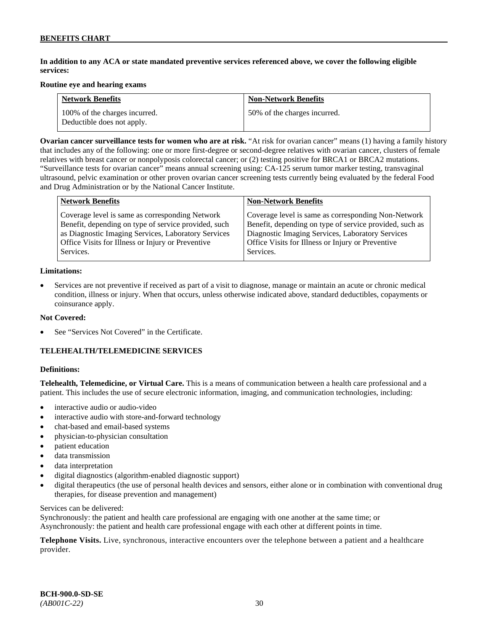## **In addition to any ACA or state mandated preventive services referenced above, we cover the following eligible services:**

#### **Routine eye and hearing exams**

| <b>Network Benefits</b>                                     | <b>Non-Network Benefits</b>  |
|-------------------------------------------------------------|------------------------------|
| 100% of the charges incurred.<br>Deductible does not apply. | 50% of the charges incurred. |

**Ovarian cancer surveillance tests for women who are at risk.** "At risk for ovarian cancer" means (1) having a family history that includes any of the following: one or more first-degree or second-degree relatives with ovarian cancer, clusters of female relatives with breast cancer or nonpolyposis colorectal cancer; or (2) testing positive for BRCA1 or BRCA2 mutations. "Surveillance tests for ovarian cancer" means annual screening using: CA-125 serum tumor marker testing, transvaginal ultrasound, pelvic examination or other proven ovarian cancer screening tests currently being evaluated by the federal Food and Drug Administration or by the National Cancer Institute.

| <b>Network Benefits</b>                              | <b>Non-Network Benefits</b>                             |
|------------------------------------------------------|---------------------------------------------------------|
| Coverage level is same as corresponding Network      | Coverage level is same as corresponding Non-Network     |
| Benefit, depending on type of service provided, such | Benefit, depending on type of service provided, such as |
| as Diagnostic Imaging Services, Laboratory Services  | Diagnostic Imaging Services, Laboratory Services        |
| Office Visits for Illness or Injury or Preventive    | Office Visits for Illness or Injury or Preventive       |
| Services.                                            | Services.                                               |

#### **Limitations:**

• Services are not preventive if received as part of a visit to diagnose, manage or maintain an acute or chronic medical condition, illness or injury. When that occurs, unless otherwise indicated above, standard deductibles, copayments or coinsurance apply.

### **Not Covered:**

See "Services Not Covered" in the Certificate.

## **TELEHEALTH/TELEMEDICINE SERVICES**

#### **Definitions:**

**Telehealth, Telemedicine, or Virtual Care.** This is a means of communication between a health care professional and a patient. This includes the use of secure electronic information, imaging, and communication technologies, including:

- interactive audio or audio-video
- interactive audio with store-and-forward technology
- chat-based and email-based systems
- physician-to-physician consultation
- patient education
- data transmission
- data interpretation
- digital diagnostics (algorithm-enabled diagnostic support)
- digital therapeutics (the use of personal health devices and sensors, either alone or in combination with conventional drug therapies, for disease prevention and management)

Services can be delivered:

Synchronously: the patient and health care professional are engaging with one another at the same time; or Asynchronously: the patient and health care professional engage with each other at different points in time.

**Telephone Visits.** Live, synchronous, interactive encounters over the telephone between a patient and a healthcare provider.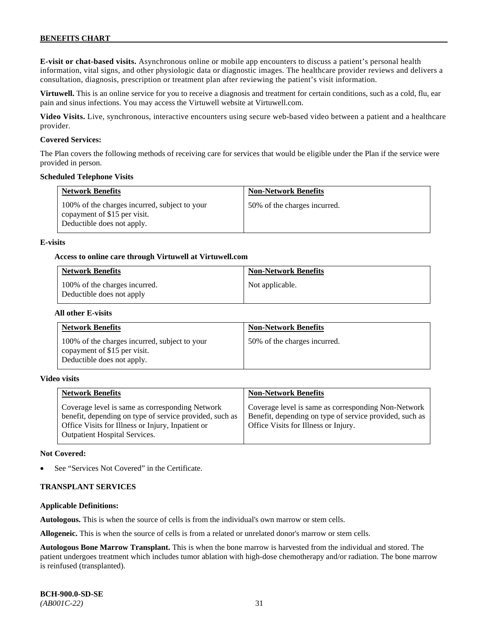**E-visit or chat-based visits.** Asynchronous online or mobile app encounters to discuss a patient's personal health information, vital signs, and other physiologic data or diagnostic images. The healthcare provider reviews and delivers a consultation, diagnosis, prescription or treatment plan after reviewing the patient's visit information.

**Virtuwell.** This is an online service for you to receive a diagnosis and treatment for certain conditions, such as a cold, flu, ear pain and sinus infections. You may access the Virtuwell website at [Virtuwell.com.](https://www.virtuwell.com/)

**Video Visits.** Live, synchronous, interactive encounters using secure web-based video between a patient and a healthcare provider.

#### **Covered Services:**

The Plan covers the following methods of receiving care for services that would be eligible under the Plan if the service were provided in person.

#### **Scheduled Telephone Visits**

| <b>Network Benefits</b>                                                                                     | <b>Non-Network Benefits</b>  |
|-------------------------------------------------------------------------------------------------------------|------------------------------|
| 100% of the charges incurred, subject to your<br>copayment of \$15 per visit.<br>Deductible does not apply. | 50% of the charges incurred. |

#### **E-visits**

#### **Access to online care through Virtuwell at [Virtuwell.com](http://www.virtuwell.com/)**

| <b>Network Benefits</b>                                    | <b>Non-Network Benefits</b> |
|------------------------------------------------------------|-----------------------------|
| 100% of the charges incurred.<br>Deductible does not apply | Not applicable.             |

#### **All other E-visits**

| <b>Network Benefits</b>                                                                                     | <b>Non-Network Benefits</b>  |
|-------------------------------------------------------------------------------------------------------------|------------------------------|
| 100% of the charges incurred, subject to your<br>copayment of \$15 per visit.<br>Deductible does not apply. | 50% of the charges incurred. |

#### **Video visits**

| <b>Network Benefits</b>                                                                                                                                                                          | <b>Non-Network Benefits</b>                                                                                                                            |
|--------------------------------------------------------------------------------------------------------------------------------------------------------------------------------------------------|--------------------------------------------------------------------------------------------------------------------------------------------------------|
| Coverage level is same as corresponding Network<br>benefit, depending on type of service provided, such as<br>Office Visits for Illness or Injury, Inpatient or<br>Outpatient Hospital Services. | Coverage level is same as corresponding Non-Network<br>Benefit, depending on type of service provided, such as<br>Office Visits for Illness or Injury. |

#### **Not Covered:**

See "Services Not Covered" in the Certificate.

## **TRANSPLANT SERVICES**

#### **Applicable Definitions:**

**Autologous.** This is when the source of cells is from the individual's own marrow or stem cells.

**Allogeneic.** This is when the source of cells is from a related or unrelated donor's marrow or stem cells.

**Autologous Bone Marrow Transplant.** This is when the bone marrow is harvested from the individual and stored. The patient undergoes treatment which includes tumor ablation with high-dose chemotherapy and/or radiation. The bone marrow is reinfused (transplanted).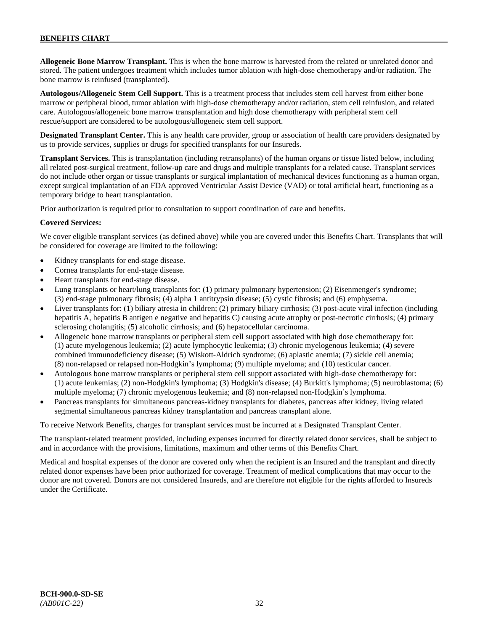**Allogeneic Bone Marrow Transplant.** This is when the bone marrow is harvested from the related or unrelated donor and stored. The patient undergoes treatment which includes tumor ablation with high-dose chemotherapy and/or radiation. The bone marrow is reinfused (transplanted).

**Autologous/Allogeneic Stem Cell Support.** This is a treatment process that includes stem cell harvest from either bone marrow or peripheral blood, tumor ablation with high-dose chemotherapy and/or radiation, stem cell reinfusion, and related care. Autologous/allogeneic bone marrow transplantation and high dose chemotherapy with peripheral stem cell rescue/support are considered to be autologous/allogeneic stem cell support.

**Designated Transplant Center.** This is any health care provider, group or association of health care providers designated by us to provide services, supplies or drugs for specified transplants for our Insureds.

**Transplant Services.** This is transplantation (including retransplants) of the human organs or tissue listed below, including all related post-surgical treatment, follow-up care and drugs and multiple transplants for a related cause. Transplant services do not include other organ or tissue transplants or surgical implantation of mechanical devices functioning as a human organ, except surgical implantation of an FDA approved Ventricular Assist Device (VAD) or total artificial heart, functioning as a temporary bridge to heart transplantation.

Prior authorization is required prior to consultation to support coordination of care and benefits.

#### **Covered Services:**

We cover eligible transplant services (as defined above) while you are covered under this Benefits Chart. Transplants that will be considered for coverage are limited to the following:

- Kidney transplants for end-stage disease.
- Cornea transplants for end-stage disease.
- Heart transplants for end-stage disease.
- Lung transplants or heart/lung transplants for: (1) primary pulmonary hypertension; (2) Eisenmenger's syndrome; (3) end-stage pulmonary fibrosis; (4) alpha 1 antitrypsin disease; (5) cystic fibrosis; and (6) emphysema.
- Liver transplants for: (1) biliary atresia in children; (2) primary biliary cirrhosis; (3) post-acute viral infection (including hepatitis A, hepatitis B antigen e negative and hepatitis C) causing acute atrophy or post-necrotic cirrhosis; (4) primary sclerosing cholangitis; (5) alcoholic cirrhosis; and (6) hepatocellular carcinoma.
- Allogeneic bone marrow transplants or peripheral stem cell support associated with high dose chemotherapy for: (1) acute myelogenous leukemia; (2) acute lymphocytic leukemia; (3) chronic myelogenous leukemia; (4) severe combined immunodeficiency disease; (5) Wiskott-Aldrich syndrome; (6) aplastic anemia; (7) sickle cell anemia; (8) non-relapsed or relapsed non-Hodgkin's lymphoma; (9) multiple myeloma; and (10) testicular cancer.
- Autologous bone marrow transplants or peripheral stem cell support associated with high-dose chemotherapy for: (1) acute leukemias; (2) non-Hodgkin's lymphoma; (3) Hodgkin's disease; (4) Burkitt's lymphoma; (5) neuroblastoma; (6) multiple myeloma; (7) chronic myelogenous leukemia; and (8) non-relapsed non-Hodgkin's lymphoma.
- Pancreas transplants for simultaneous pancreas-kidney transplants for diabetes, pancreas after kidney, living related segmental simultaneous pancreas kidney transplantation and pancreas transplant alone.

To receive Network Benefits, charges for transplant services must be incurred at a Designated Transplant Center.

The transplant-related treatment provided, including expenses incurred for directly related donor services, shall be subject to and in accordance with the provisions, limitations, maximum and other terms of this Benefits Chart.

Medical and hospital expenses of the donor are covered only when the recipient is an Insured and the transplant and directly related donor expenses have been prior authorized for coverage. Treatment of medical complications that may occur to the donor are not covered. Donors are not considered Insureds, and are therefore not eligible for the rights afforded to Insureds under the Certificate.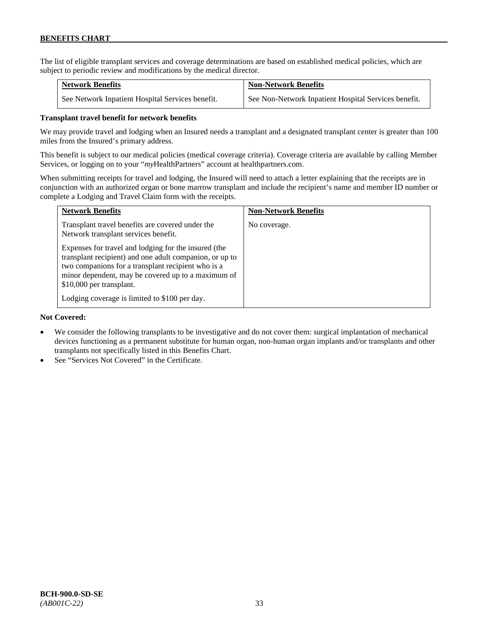The list of eligible transplant services and coverage determinations are based on established medical policies, which are subject to periodic review and modifications by the medical director.

| <b>Network Benefits</b>                          | <b>Non-Network Benefits</b>                          |
|--------------------------------------------------|------------------------------------------------------|
| See Network Inpatient Hospital Services benefit. | See Non-Network Inpatient Hospital Services benefit. |

## **Transplant travel benefit for network benefits**

We may provide travel and lodging when an Insured needs a transplant and a designated transplant center is greater than 100 miles from the Insured's primary address.

This benefit is subject to our medical policies (medical coverage criteria). Coverage criteria are available by calling Member Services, or logging on to your "*my*HealthPartners" account a[t healthpartners.com.](http://www.healthpartners.com/)

When submitting receipts for travel and lodging, the Insured will need to attach a letter explaining that the receipts are in conjunction with an authorized organ or bone marrow transplant and include the recipient's name and member ID number or complete a Lodging and Travel Claim form with the receipts.

| <b>Network Benefits</b>                                                                                                                                                                                                                                 | <b>Non-Network Benefits</b> |
|---------------------------------------------------------------------------------------------------------------------------------------------------------------------------------------------------------------------------------------------------------|-----------------------------|
| Transplant travel benefits are covered under the<br>Network transplant services benefit.                                                                                                                                                                | No coverage.                |
| Expenses for travel and lodging for the insured (the<br>transplant recipient) and one adult companion, or up to<br>two companions for a transplant recipient who is a<br>minor dependent, may be covered up to a maximum of<br>\$10,000 per transplant. |                             |
| Lodging coverage is limited to \$100 per day.                                                                                                                                                                                                           |                             |

### **Not Covered:**

- We consider the following transplants to be investigative and do not cover them: surgical implantation of mechanical devices functioning as a permanent substitute for human organ, non-human organ implants and/or transplants and other transplants not specifically listed in this Benefits Chart.
- See "Services Not Covered" in the Certificate.